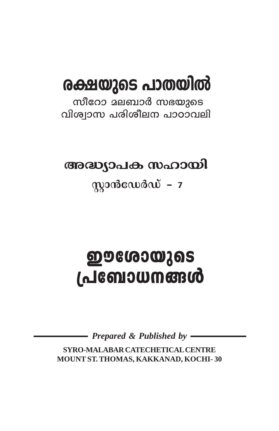# രക്ഷയുടെ പാതയിൽ

സീറോ മലബാർ സഭയുടെ വിശ്വാസ പരിശീലന പാഠാവലി

അദ്ധ്യാപക സഹായി

 $\omega$ 

# <u>ഈശോയുടെ</u> <u>പ്രബോധനങ്ങൾ</u>

Prepared & Published by  $-$ 

SYRO-MALABAR CATECHETICAL CENTRE MOUNT ST. THOMAS, KAKKANAD, KOCHI-30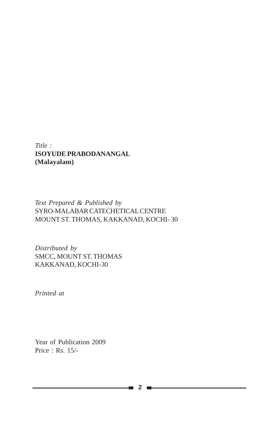### *Title :* **ISOYUDE PRABODANANGAL (Malayalam)**

### *Text Prepared & Published by* SYRO-MALABAR CATECHETICAL CENTRE MOUNT ST. THOMAS, KAKKANAD, KOCHI- 30

*Distributed by* SMCC, MOUNT ST. THOMAS KAKKANAD, KOCHI-30

*Printed at*

Year of Publication 2009 Price : Rs. 15/-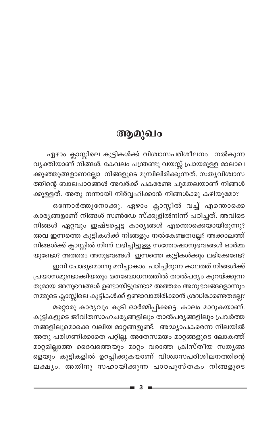## ആമുഖം

ഏഴാം ക്ലാസ്സിലെ കുട്ടികൾക്ക് വിശ്വാസപരിശീലനം നൽകുന്ന വ്യക്തിയാണ് നിങ്ങൾ. കേവലം പന്ത്രണ്ടു വയസ്സ് പ്രായമുള്ള മാലാഖ ക്കുഞ്ഞുങ്ങളാണല്ലോ നിങ്ങളുടെ മുമ്പിലിരിക്കുന്നത്. സത്യവിശ്വാസ ത്തിന്റെ ബാലപാഠങ്ങൾ അവർക്ക് പകരേണ്ട ചുമതലയാണ് നിങ്ങൾ ക്കുള്ളത്. അതു നന്നായി നിർവ്വഹിക്കാൻ നിങ്ങൾക്കു കഴിയുമോ?

ഒന്നോർത്തുനോക്കൂ. ഏഴാം ക്ലാസ്സിൽ വച്ച് എന്തൊക്കെ കാര്യങ്ങളാണ് നിങ്ങൾ സൺഡേ സ്ക്കൂളിൽനിന്ന് പഠിച്ചത്. അവിടെ നിങ്ങൾ ഏറ്റവും ഇഷ്ടപ്പെട്ട കാര്യങ്ങൾ എന്തൊക്കെയായിരുന്നു? അവ ഇന്നത്തെ കുട്ടികൾക്ക് നിങ്ങളും നൽകേണ്ടതല്ലേ? അക്കാലത്ത് നിങ്ങൾക്ക് ക്ലാസ്സിൽ നിന്ന് ലഭിച്ചിട്ടുള്ള സന്തോഷാനുഭവങ്ങൾ ഓർമ്മ യുണ്ടോ? അത്തരം അനുഭവങ്ങൾ ഇന്നത്തെ കുട്ടികൾക്കും ലഭിക്കേണ്ടേ? ഇനി ചോദ്യമൊന്നു മറിച്ചാകാം. പഠിച്ചിരുന്ന കാലത്ത് നിങ്ങൾക്ക് പ്രയാസമുണ്ടാക്കിയതും മതബോധനത്തിൽ താൽപര്യം കുറയ്ക്കുന്ന

തുമായ അനുഭവങ്ങൾ ഉണ്ടായിട്ടുണ്ടോ? അത്തരം അനുഭവങ്ങളൊന്നും നമ്മുടെ ക്ലാസ്സിലെ കുട്ടികൾക്ക് ഉണ്ടാവാതിരിക്കാൻ ശ്രദ്ധിക്കേണ്ടതല്ലേ?

മറ്റൊരു കാര്യവും കൂടി ഓർമ്മിപ്പിക്കട്ടെ. കാലം മാറുകയാണ്. കുട്ടികളുടെ ജീവിതസാഹചര്യങ്ങളിലും താൽപര്യങ്ങളിലും പ്രവർത്ത നങ്ങളിലുമൊക്കെ വലിയ മാറ്റങ്ങളുണ്ട്. അദ്ധ്യാപകരെന്ന നിലയിൽ അതു പരിഗണിക്കാതെ പറ്റില്ല. അതേസമയം മാറ്റങ്ങളുടെ ലോകത്ത് മാറ്റമില്ലാത്ത ദൈവത്തെയും മാറ്റം വരാത്ത ക്രിസ്തീയ സതൃങ്ങ ളെയും കുട്ടികളിൽ ഉറപ്പിക്കുകയാണ് വിശ്വാസപരിശീലനത്തിന്റെ ലക്ഷ്യം. അതിനു സഹായിക്കുന്ന പാഠപുസ്തകം നിങ്ങളുടെ

3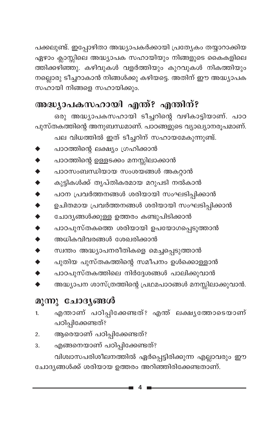പക്കലുണ്ട്. ഇപ്പോഴിതാ അദ്ധ്യാപകർക്കായി പ്രത്യേകം തയ്യാറാക്കിയ ഏഴാം ക്ലാസ്സിലെ അദ്ധ്യാപക സഹായിയും നിങ്ങളുടെ കൈകളിലെ ത്തിക്കഴിഞ്ഞു. കഴിവുകൾ വളർത്തിയും കുറവുകൾ നികത്തിയും നല്ലൊരു ടീച്ചറാകാൻ നിങ്ങൾക്കു കഴിയട്ടെ. അതിന് ഈ അദ്ധ്യാപക സഹായി നിങ്ങളെ സഹായിക്കും.

## അദ്ധ്യാപകസഹായി എന്ത്? എന്തിന്?

ഒരു അദ്ധ്യാപകസഹായി ടീച്ചറിന്റെ വഴികാട്ടിയാണ്. പാഠ പുസ്തകത്തിന്റെ അനുബന്ധമാണ്. പാഠങ്ങളുടെ വ്യാഖ്യാനരൂപമാണ്. പല വിധത്തിൽ ഇത് ടീച്ചറിന് സഹായമേകുന്നുണ്ട്.

- പാഠത്തിന്റെ ലക്ഷ്യം ഗ്രഹിക്കാൻ
- പാഠത്തിന്റെ ഉള്ളടക്കം മനസ്സിലാക്കാൻ
- പാഠസംബന്ധിയായ സംശയങ്ങൾ അകറ്റാൻ
- കുട്ടികൾക്ക് തൃപ്തികരമായ മറുപടി നൽകാൻ
- പഠന പ്രവർത്തനങ്ങൾ ശരിയായി സംഘടിപ്പിക്കാൻ
- ഉചിതമായ പ്രവർത്തനങ്ങൾ ശരിയായി സംഘടിപ്പിക്കാൻ
- ചോദ്യങ്ങൾക്കുള്ള ഉത്തരം കണ്ടുപിടിക്കാൻ
- പാഠപുസ്തകത്തെ ശരിയായി ഉപയോഗപ്പെടുത്താൻ
- $\ddot{\bullet}$ അധികവിവരങ്ങൾ ശേഖരിക്കാൻ
- സ്വന്തം അദ്ധ്യാപനരീതികളെ മെച്ചപ്പെടുത്താൻ
- പുതിയ പുസ്തകത്തിന്റെ സമീപനം ഉൾക്കൊള്ളാൻ
- പാഠപുസ്തകത്തിലെ നിർദ്ദേശങ്ങൾ പാലിക്കുവാൻ
- അദ്ധ്യാപന ശാസ്ത്രത്തിന്റെ പ്രഥമപാഠങ്ങൾ മനസ്സിലാക്കുവാൻ.

## മൂന്നു ചോദ്യങ്ങൾ

- എന്താണ് പഠിപ്പിക്കേണ്ടത്? എന്ത് ലക്ഷ്യത്തോടെയാണ് 1. പഠിപ്പിക്കേണ്ടത്?
- ആരെയാണ് പഠിപ്പിക്കേണ്ടത്?  $\overline{2}$ .
- എങ്ങനെയാണ് പഠിപ്പിക്കേണ്ടത്? 3. വിശ്വാസപരിശീലനത്തിൽ ഏർപ്പെട്ടിരിക്കുന്ന എല്ലാവരും ഈ

ചോദ്യങ്ങൾക്ക് ശരിയായ ഉത്തരം അറിഞ്ഞിരിക്കേണ്ടതാണ്.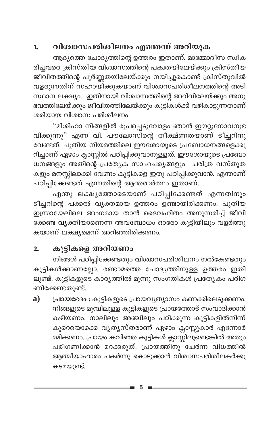### വിശ്വാസപരിശീലനം എന്തെന്ന് അറിയുക 1.

ആദ്യത്തെ ചോദ്യത്തിന്റെ ഉത്തരം ഇതാണ്. മാമ്മോദീസ സ്വീക രിച്ചവരെ ക്രിസ്തീയ വിശ്വാസത്തിന്റെ പക്വതയിലേയ്ക്കും ക്രിസ്തീയ .<br>ജീവിതത്തിന്റെ പൂർണ്ണതയിലേയ്ക്കും നയിച്ചുകൊണ്ട് ക്രിസ്തുവിൽ വളരുന്നതിന് സഹായിക്കുകയാണ് വിശ്വാസപരിശീലനത്തിന്റെ അടി സ്ഥാന ലക്ഷ്യം. ഇതിനായി വിശ്വാസത്തിന്റെ അറിവിലേയ്ക്കും അനു ഭവത്തിലേയ്ക്കും ജീവിതത്തിലേയ്ക്കും കുട്ടികൾക്ക് വഴികാട്ടുന്നതാണ് ശരിയായ വിശ്വാസ പരിശീലനം.

"മിശിഹാ നിങ്ങളിൽ രൂപപ്പെടുവോളം ഞാൻ ഈറ്റുനോവനുഭ വിക്കുന്നു" എന്ന വി. പൗലോസിന്റെ തീക്ഷ്ണതയാണ് ടീച്ചറിനു വേണ്ടത്. പുതിയ നിയമത്തിലെ ഈശോയുടെ പ്രബോധനങ്ങളെക്കു റിച്ചാണ് ഏഴാം ക്ലാസ്സിൽ പഠിപ്പിക്കുവാനുള്ളത്. ഈശോയുടെ പ്രബോ ധനങ്ങളും അതിന്റെ പ്രത്യേക സാഹചര്യങ്ങളും ചരിത്ര വസ്തുത കളും മനസ്സിലാക്കി വേണം കുട്ടികളെ ഇതു പഠിപ്പിക്കുവാൻ. എന്താണ് പഠിപ്പിക്കേണ്ടത് എന്നതിന്റെ ആന്തരാർത്ഥം ഇതാണ്.

എന്തു ലക്ഷ്യത്തോടെയാണ് പഠിപ്പിക്കേണ്ടത് എന്നതിനും ടീച്ചറിന്റെ പക്കൽ വ്യക്തമായ ഉത്തരം ഉണ്ടായിരിക്കണം. പുതിയ ഇസ്രായേലിലെ അംഗമായ താൻ ദൈവഹിതം അനുസരിച്ച് ജീവി ക്കേണ്ട വ്യക്തിയാണെന്ന അവബോധം ഓരോ കുട്ടിയിലും വളർത്തു കയാണ് ലക്ഷ്യമെന്ന് അറിഞ്ഞിരിക്കണം.

### കുട്ടികളെ അറിയണം  $2.$

നിങ്ങൾ പഠിപ്പിക്കേണ്ടതും വിശ്വാസപരിശീലനം നൽകേണ്ടതും കുട്ടികൾക്കാണല്ലോ. രണ്ടാമത്തെ ചോദ്യത്തിനുള്ള ഉത്തരം ഇതി ലുണ്ട്. കുട്ടികളുടെ കാര്യത്തിൽ മൂന്നു സംഗതികൾ പ്രത്യേകം പരിഗ ണിക്കേണ്ടതുണ്ട്.

പ്രായഭേദം : കുട്ടികളുടെ പ്രായവൃത്യാസം കണക്കിലെടുക്കണം. a) നിങ്ങളുടെ മുമ്പിലുള്ള കുട്ടികളുടെ പ്രായത്തോട് സംവാദിക്കാൻ കഴിയണം. നാലിലും അഞ്ചിലും പഠിക്കുന്ന കുട്ടികളിൽനിന്ന് കുറെയൊക്കെ വ്യത്യസ്തരാണ് ഏഴാം ക്ലാസ്സുകാർ എന്നോർ മ്മിക്കണം. പ്രായം കവിഞ്ഞ കുട്ടികൾ ക്ലാസ്സിലുണ്ടെങ്കിൽ അതും പരിഗണിക്കാൻ മറക്കരുത്. പ്രായത്തിനു ചേർന്ന വിധത്തിൽ ആത്മീയാഹാരം പകർന്നു കൊടുക്കാൻ വിശ്വാസപരിശീലകർക്കു കടമയുണ്ട്.

5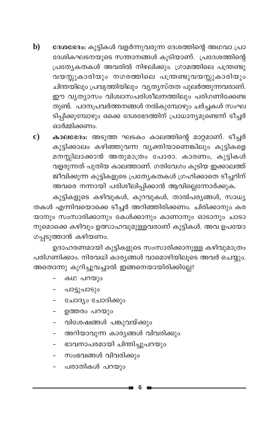$\mathbf{b}$ ദേശഭേദം: കുട്ടികൾ വളർന്നുവരുന്ന ദേശത്തിന്റെ അഥവാ പ്രാ ദേശികഘടനയുടെ സന്താനങ്ങൾ കൂടിയാണ്. പ്രദേശത്തിന്റെ പ്രത്യേകതകൾ അവരിൽ നിഴലിക്കും. ഗ്രാമത്തിലെ പന്ത്രണ്ടു വയസ്സുകാരിയും നഗരത്തിലെ പന്ത്രണ്ടുവയസ്സുകാരിയും ചിന്തയിലും പ്രവൃത്തിയിലും വ്യത്യസ്തത പുലർത്തുന്നവരാണ്. ഈ വ്യത്യാസം വിശാസപരിശീലനത്തിലും പരിഗണിക്കേണ്ട തുണ്ട്. പഠനപ്രവർത്തനങ്ങൾ നൽകുമ്പോഴും ചർച്ചകൾ സംഘ ടിപ്പിക്കുമ്പോഴും ഒക്കെ ദേശഭേദത്തിന് പ്രാധാന്യമുണ്ടെന്ന് ടീച്ചർ ഓർമ്മിക്കണം.

 $\mathbf{c})$ കാലഭേദം: അടുത്ത ഘടകം കാലത്തിന്റെ മാറ്റമാണ്. ടീച്ചർ കുട്ടിക്കാലം കഴിഞ്ഞുവന്ന വ്യക്തിയാണെങ്കിലും കുട്ടികളെ മനസ്സിലാക്കാൻ അതുമാത്രം പോരാ. കാരണം, കുട്ടികൾ വളരുന്നത് പുതിയ കാലത്താണ്. ഗതിവേഗം കൂടിയ ഇക്കാലത്ത് ജീവിക്കുന്ന കുട്ടികളുടെ പ്രത്യേകതകൾ ഗ്രഹിക്കാതെ ടീച്ചറിന് അവരെ നന്നായി പരിശീലിപ്പിക്കാൻ ആവില്ലെന്നോർക്കുക.

കുട്ടികളുടെ കഴിവുകൾ, കുറവുകൾ, താൽപര്യങ്ങൾ, സാധ്യ തകൾ എന്നിവയൊക്കെ ടീച്ചർ അറിഞ്ഞിരിക്കണം. ചിരിക്കാനും കര യാനും സംസാരിക്കാനും കേൾക്കാനും കാണാനും ഓടാനും ചാടാ നുമൊക്കെ കഴിവും ഉത്സാഹവുമുള്ളവരാണ് കുട്ടികൾ. അവ ഉപയോ ഗപ്പടുത്താൻ കഴിയണം.

ഉദാഹരണമായി കുട്ടികളുടെ സംസാരിക്കാനുള്ള കഴിവുമാത്രം പരിഗണിക്കാം. നിരവധി കാര്യങ്ങൾ വാമൊഴിയിലൂടെ അവർ ചെയ്യും. അതൊന്നു കുറിച്ചുവച്ചാൽ ഇങ്ങനെയായിരിക്കില്ലേ?

- കഥ പറയും
- പാട്ടുപാടും
- ചോദ്യം ചോദിക്കും
- ഉത്തരം പറയും
- വിശേഷങ്ങൾ പങ്കുവയ്ക്കും
- അറിയാവുന്ന കാര്യങ്ങൾ വിവരിക്കും
- ഭാവനാപരമായി ചിന്തിച്ചുപറയും
- സംഭവങ്ങൾ വിവരിക്കും
- പരാതികൾ പറയും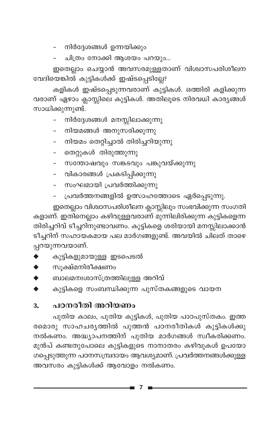- നിർദ്ദേശങ്ങൾ ഉന്നയിക്കും

ചിത്രം നോക്കി ആശയം പറയും...

ഇതെല്ലാം ചെയ്യാൻ അവസരമുള്ളതാണ് വിശ്വാസപരിശീലന വേദിയെങ്കിൽ കുട്ടികൾക്ക് ഇഷ്ടപ്പെടില്ലേ?

കളികൾ ഇഷ്ടപ്പെടുന്നവരാണ് കുട്ടികൾ. ഒത്തിരി കളിക്കുന്ന വരാണ് ഏഴാം ക്ലാസ്സിലെ കുട്ടികൾ. അതിലൂടെ നിരവധി കാര്യങ്ങൾ സാധിക്കുന്നുണ്ട്.

- നിർദ്ദേശങ്ങൾ മനസ്സിലാക്കുന്നു
- നിയമങ്ങൾ അനുസരിക്കുന്നു
- നിയമം തെറ്റിച്ചാൽ തിരിച്ചറിയുന്നു
- തെറ്റുകൾ തിരുത്തുന്നു
- സന്തോഷവും സങ്കടവും പങ്കുവയ്ക്കുന്നു
- വികാരങ്ങൾ പ്രകടിപ്പിക്കുന്നു
- സംഘമായി പ്രവർത്തിക്കുന്നു
- പ്രവർത്തനങ്ങളിൽ ഉത്സാഹത്തോടെ ഏർപ്പെടുന്നു.

ഇതെല്ലാം വിശ്വാസപരിശീലന ക്ലാസ്സിലും സംഭവിക്കുന്ന സംഗതി കളാണ്. ഇതിനെല്ലാം കഴിവുള്ളവരാണ് മുന്നിലിരിക്കുന്ന കുട്ടികളെന്ന തിരിച്ചറിവ് ടീച്ചറിനുണ്ടാവണം. കുട്ടികളെ ശരിയായി മനസ്സിലാക്കാൻ ടീച്ചറിന് സഹായകമായ പല മാർഗങ്ങളുണ്ട്. അവയിൽ ചിലത് താഴെ പ്പറയുന്നവയാണ്.

- കുട്ടികളുമായുള്ള ഇടപെടൽ
- സൂക്ഷ്മനിരീക്ഷണം
- ബാലമനഃശാസ്ത്രത്തിലുള്ള അറിവ്
- കുട്ടികളെ സംബന്ധിക്കുന്ന പുസ്തകങ്ങളുടെ വായന

### പഠനരീതി അറിയണം  $3<sub>z</sub>$

പുതിയ കാലം, പുതിയ കുട്ടികൾ, പുതിയ പാഠപുസ്തകം. ഇത്ത രമൊരു സാഹചര്യത്തിൽ പുത്തൻ പഠനരീതികൾ കുട്ടികൾക്കു നൽകണം. അദ്ധ്യാപനത്തിന് പുതിയ മാർഗങ്ങൾ സ്വീകരിക്കണം. മുൻപ് കണ്ടതുപോലെ കുട്ടികളുടെ നാനാതരം കഴിവുകൾ ഉപയോ ഗപ്പെടുത്തുന്ന പഠനസമ്പ്രദായം ആവശ്യമാണ്. പ്രവർത്തനങ്ങൾക്കുള്ള അവസരം കുട്ടികൾക്ക് ആവോളം നൽകണം.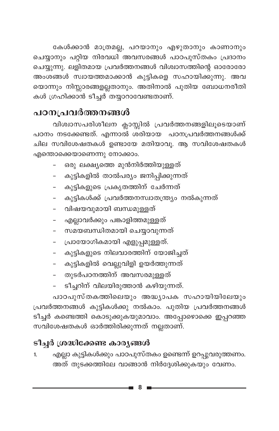കേൾക്കാൻ മാത്രമല്ല, പറയാനും എഴുതാനും കാണാനും ചെയ്യാനും പറ്റിയ നിരവധി അവസരങ്ങൾ പാഠപുസ്തകം പ്രദാനം ചെയ്യുന്നു. ലളിതമായ പ്രവർത്തനങ്ങൾ വിശ്വാസത്തിന്റെ ഓരോരോ അംശങ്ങൾ സ്വായത്തമാക്കാൻ കുട്ടികളെ സഹായിക്കുന്നു. അവ യൊന്നും നിസ്സാരങ്ങളല്ലതാനും. അതിനാൽ പുതിയ ബോധനരീതി കൾ ഗ്രഹിക്കാൻ ടീച്ചർ തയ്യാറാവേണ്ടതാണ്.

## പഠനപ്രവർത്തനങ്ങൾ

വിശ്വാസപരിശീലന ക്ലാസ്സിൽ പ്രവർത്തനങ്ങളിലൂടെയാണ് പഠനം നടക്കേണ്ടത്. എന്നാൽ ശരിയായ പഠനപ്രവർത്തനങ്ങൾക്ക് ചില സവിശേഷതകൾ ഉണ്ടായേ മതിയാവൂ. ആ സവിശേഷതകൾ എന്തൊക്കെയാണെന്നു നോക്കാം.

- ഒരു ലക്ഷ്യത്തെ മുൻനിർത്തിയുള്ളത്
- കുട്ടികളിൽ താൽപര്യം ജനിപ്പിക്കുന്നത്
- കുട്ടികളുടെ പ്രകൃതത്തിന് ചേർന്നത്
- കുട്ടികൾക്ക് പ്രവർത്തനസ്വാതന്ത്ര്യം നൽകുന്നത്
- വിഷയവുമായി ബന്ധമുള്ളത്
- എല്ലാവർക്കും പങ്കാളിത്തമുള്ളത്
- സമയബന്ധിതമായി ചെയ്യാവുന്നത്
- പ്രായോഗികമായി എളുപ്പമുള്ളത്.
- കുട്ടികളുടെ നിലവാരത്തിന് യോജിച്ചത്
- കുട്ടികളിൽ വെല്ലുവിളി ഉയർത്തുന്നത്
- തുടർപഠനത്തിന് അവസരമുള്ളത്
- ടീച്ചറിന് വിലയിരുത്താൻ കഴിയുന്നത്.

പാഠപുസ്തകത്തിലെയും അദ്ധ്യാപക സഹായിയിലേയും പ്രവർത്തനങ്ങൾ കുട്ടികൾക്കു നൽകാം. പുതിയ പ്രവർത്തനങ്ങൾ ടീച്ചർ കണ്ടെത്തി കൊടുക്കുകയുമാവാം. അപ്പോഴൊക്കെ ഇപ്പറഞ്ഞ സവിശേഷതകൾ ഓർത്തിരിക്കുന്നത് നല്ലതാണ്.

## ടീച്ചർ ശ്രദ്ധിക്കേണ്ട കാര്യങ്ങൾ

എല്ലാ കുട്ടികൾക്കും പാഠപുസ്തകം ഉണ്ടെന്ന് ഉറപ്പുവരുത്തണം. 1. അത് തുടക്കത്തിലേ വാങ്ങാൻ നിർദ്ദേശിക്കുകയും വേണം.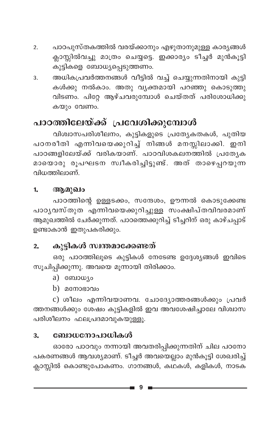- പാഠപുസ്തകത്തിൽ വരയ്ക്കാനും എഴുതാനുമുള്ള കാര്യങ്ങൾ  $\overline{2}$ . ക്ലാസ്സിൽവച്ചു മാത്രം ചെയ്യട്ടെ. ഇക്കാര്യം ടീച്ചർ മുൻകൂട്ടി കുട്ടികളെ ബോധ്യപ്പെടുത്തണം.
- അധികപ്രവർത്തനങ്ങൾ വീട്ടിൽ വച്ച് ചെയ്യുന്നതിനായി കുട്ടി  $\overline{3}$ . കൾക്കു നൽകാം. അതു വൃക്തമായി പറഞ്ഞു കൊടുത്തു വിടണം. പിറ്റേ ആഴ്ചവരുമ്പോൾ ചെയ്തത് പരിശോധിക്കു കയും വേണം.

## പാഠത്തിലേയ്ക്ക് പ്രവേശിക്കുമ്പോൾ

വിശ്വാസപരിശീലനം, കുട്ടികളുടെ പ്രത്യേകതകൾ, പുതിയ പഠനരീതി എന്നിവയെക്കുറിച്ച് നിങ്ങൾ മനസ്സിലാക്കി. ഇനി പാഠങ്ങളിലേയ്ക്ക് വരികയാണ്. പാഠവിശകലനത്തിൽ പ്രത്യേക മായൊരു രൂപഘടന സ്വീകരിച്ചിട്ടുണ്ട്. അത് താഴെപ്പറയുന്ന വിധത്തിലാണ്.

#### ആമുഖം 1.

പാഠത്തിന്റെ ഉള്ളടക്കം, സന്ദേശം, ഊന്നൽ കൊടുക്കേണ്ട പാഠൃവസ്തുത എന്നിവയെക്കുറിച്ചുള്ള സംക്ഷിപ്തവിവരമാണ് ആമുഖത്തിൽ ചേർക്കുന്നത്. പാഠത്തെക്കുറിച്ച് ടീച്ചറിന് ഒരു കാഴ്ചപ്പാട് ഉണ്ടാകാൻ ഇതുപകരിക്കും.

#### കുട്ടികൾ സ്വന്തമാക്കേണ്ടത്  $2.$

ഒരു പാഠത്തിലൂടെ കുട്ടികൾ നേടേണ്ട ഉദ്ദേശ്യങ്ങൾ ഇവിടെ സൂചിപ്പിക്കുന്നു. അവയെ മൂന്നായി തിരിക്കാം.

- a) ബോധ്യം
- b) മനോഭാവം

c) ശീലം എന്നിവയാണവ. ചോദ്യോത്തരങ്ങൾക്കും പ്രവർ ത്തനങ്ങൾക്കും ശേഷം കുട്ടികളിൽ ഇവ അവശേഷിച്ചാലേ വിശ്വാസ പരിശീലനം ഫലപ്രദമാവുകയുള്ളൂ.

#### ബോധനോപാധികൾ 3.

ഓരോ പാഠവും നന്നായി അവതരിപ്പിക്കുന്നതിന് ചില പഠനോ പകരണങ്ങൾ ആവശ്യമാണ്. ടീച്ചർ അവയെല്ലാം മുൻകൂട്ടി ശേഖരിച്ച് ക്ലാസ്സിൽ കൊണ്ടുപോകണം. ഗാനങ്ങൾ, കഥകൾ, കളികൾ, നാടക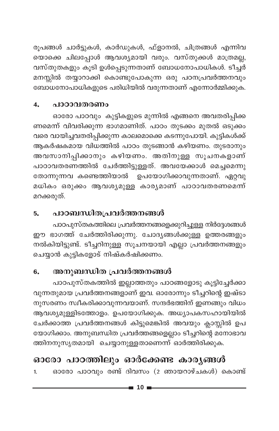രൂപങ്ങൾ ചാർട്ടുകൾ, കാർഡുകൾ, ഫ്ളാനൽ, ചിത്രങ്ങൾ എന്നിവ യൊക്കെ ചിലപ്പോൾ ആവശ്യമായി വരും. വസ്തുക്കൾ മാത്രമല്ല, വസ്തുതകളും കൂടി ഉൾപ്പെടുന്നതാണ് ബോധനോപാധികൾ. ടീച്ചർ മനസ്സിൽ തയ്യാറാക്കി കൊണ്ടുപോകുന്ന ഒരു പഠനപ്രവർത്തനവും ബോധനോപാധികളുടെ പരിധിയിൽ വരുന്നതാണ് എന്നോർമ്മിക്കുക.

#### പാഠാവതരണം  $\overline{4}$ .

ഓരോ പാഠവും കുട്ടികളുടെ മുന്നിൽ എങ്ങനെ അവതരിപ്പിക്ക ണമെന്ന് വിവരിക്കുന്ന ഭാഗമാണിത്. പാഠം തുടക്കം മുതൽ ഒടുക്കം വരെ വായിച്ചവതരിപ്പിക്കുന്ന കാലമൊക്കെ കടന്നുപോയി. കുട്ടികൾക്ക് ആകർഷകമായ വിധത്തിൽ പാഠം തുടങ്ങാൻ കഴിയണം. തുടരാനും അവസാനിപ്പിക്കാനും കഴിയണം. അതിനുള്ള സൂചനകളാണ് പാഠാവതരണത്തിൽ ചേർത്തിട്ടുള്ളത്. അവയേക്കാൾ മെച്ചമെന്നു തോന്നുന്നവ കണ്ടെത്തിയാൽ ഉപയോഗിക്കാവുന്നതാണ്. ഏറ്റവു മധികം ഒരുക്കം ആവശ്യമുള്ള കാര്യമാണ് പാഠാവതരണമെന്ന് മറക്കരുത്.

#### പാഠബന്ധിതപ്രവർത്തനങ്ങൾ 5.

പാഠപുസ്തകത്തിലെ പ്രവർത്തനങ്ങളെക്കുറിച്ചുള്ള നിർദ്ദേശങ്ങൾ ഈ ഭാഗത്ത് ചേർത്തിരിക്കുന്നു. ചോദ്യങ്ങൾക്കുള്ള ഉത്തരങ്ങളും നൽകിയിട്ടുണ്ട്. ടീച്ചറിനുള്ള സൂചനയായി എല്ലാ പ്രവർത്തനങ്ങളും ചെയ്യാൻ കുട്ടികളോട് നിഷ്കർഷിക്കണം.

#### അനുബന്ധിത പ്രവർത്തനങ്ങൾ 6.

പാഠപുസ്തകത്തിൽ ഇല്ലാത്തതും പാഠങ്ങളോടു കൂട്ടിച്ചേർക്കാ വുന്നതുമായ പ്രവർത്തനങ്ങളാണ് ഇവ. ഓരോന്നും ടീച്ചറിന്റെ ഇഷ്ടാ നുസരണം സ്വീകരിക്കാവുന്നവയാണ്. സന്ദർഭത്തിന് ഇണങ്ങും വിധം ആവശ്യമുള്ളിടത്തോളം. ഉപയോഗിക്കുക. അധ്യാപകസഹായിയിൽ ചേർക്കാത്ത പ്രവർത്തനങ്ങൾ കിട്ടുമെങ്കിൽ അവയും ക്ലാസ്സിൽ ഉപ യോഗിക്കാം. അനുബന്ധിത പ്രവർത്തങ്ങളെല്ലാം ടീച്ചറിന്റെ മനോഭാവ ത്തിനനുസൃതമായി ചെയ്യാനുള്ളതാണെന്ന് ഓർത്തിരിക്കുക.

## ഓരോ പാഠത്തിലും ഓർക്കേണ്ട കാര്യങ്ങൾ

ഓരോ പാഠവും രണ്ട് ദിവസം (2 ഞായറാഴ്ചകൾ) കൊണ്ട്  $\mathbf{1}$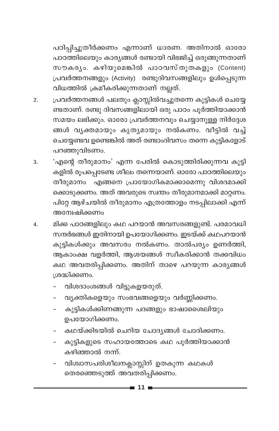പഠിപ്പിച്ചുതീർക്കണം എന്നാണ് ധാരണ. അതിനാൽ ഓരോ പാഠത്തിലെയും കാര്യങ്ങൾ രണ്ടായി വിഭജിച്ച് ഒരുങ്ങുന്നതാണ് സൗകര്യം. കഴിയുമെങ്കിൽ പാഠവസ്തുതകളും (Content) പ്രവർത്തനങ്ങളും (Activity) രണ്ടുദിവസങ്ങളിലും ഉൾപ്പെടുന്ന വിധത്തിൽ ക്രമീകരിക്കുന്നതാണ് നല്ലത്.

- പ്രവർത്തനങ്ങൾ പലതും ക്ലാസ്സിൽവച്ചുതന്നെ കുട്ടികൾ ചെയ്യേ  $\overline{2}$ . ണ്ടതാണ്. രണ്ടു ദിവസങ്ങളിലായി ഒരു പാഠം പൂർത്തിയാക്കാൻ സമയം ലഭിക്കും. ഓരോ പ്രവർത്തനവും ചെയ്യാനുള്ള നിർദ്ദേശ ങ്ങൾ വൃക്തമായും കൃത്യമായും നൽകണം. വീട്ടിൽ വച്ച് ചെയ്യേണ്ടവ ഉണ്ടെങ്കിൽ അത് രണ്ടാംദിവസം തന്നെ കുട്ടികളോട് പറഞ്ഞുവിടണം.
- 'എന്റെ തീരുമാനം' എന്ന പേരിൽ കൊടുത്തിരിക്കുന്നവ കുട്ടി 3. കളിൽ രൂപപ്പെടേണ്ട ശീലം തന്നെയാണ്. ഓരോ പാഠത്തിലെയും തീരുമാനം എങ്ങനെ പ്രായോഗികമാക്കാമെന്നു വിശദമാക്കി ക്കൊടുക്കണം. അത് അവരുടെ സ്വന്തം തീരുമാനമാക്കി മാറ്റണം. പിറ്റേ ആഴ്ചയിൽ തീരുമാനം എത്രത്തോളം നടപ്പിലാക്കി എന്ന് അന്വേഷിക്കണം
- മിക്ക പാഠങ്ങളിലും കഥ പറയാൻ അവസരങ്ങളുണ്ട്. പരമാവധി  $\overline{4}$ . സന്ദർഭങ്ങൾ ഇതിനായി ഉപയോഗിക്കണം. ഇടയ്ക്ക് കഥപറയാൻ കുട്ടികൾക്കും അവസരം നൽകണം. താൽപര്യം ഉണർത്തി, ആകാംക്ഷ വളർത്തി, ആശയങ്ങൾ സ്ഥീകരിക്കാൻ തക്കവിധം കഥ അവതരിപ്പിക്കണം. അതിന് താഴെ പറയുന്ന കാര്യങ്ങൾ ശ്രദ്ധിക്കണം.
	- വിശദാംശങ്ങൾ വിട്ടുകളയരുത്.
	- വ്യക്തികളെയും സംഭവങ്ങളെയും വർണ്ണിക്കണം.
	- കുട്ടികൾക്കിണങ്ങുന്ന പദങ്ങളും ഭാഷാശൈലിയും ഉപയോഗിക്കണം.
	- കഥയ്ക്കിടയിൽ ചെറിയ ചോദ്യങ്ങൾ ചോദിക്കണം.
	- കുട്ടികളുടെ സഹായത്തോടെ കഥ പൂർത്തിയാക്കാൻ കഴിഞ്ഞാൽ നന്ന്.
	- വിശ്വാസപരിശീലനക്ലാസ്സിന് ഉതകുന്ന കഥകൾ തെരഞ്ഞെടുത്ത് അവതരിപ്പിക്കണം.

▄ 11 :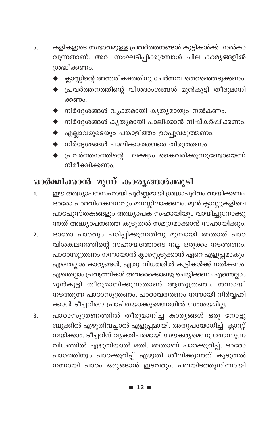- കളികളുടെ സ്വഭാവമുള്ള പ്രവർത്തനങ്ങൾ കുട്ടികൾക്ക് നൽകാ 5. വുന്നതാണ്. അവ സംഘടിപ്പിക്കുമ്പോൾ ചില കാര്യങ്ങളിൽ ശ്രദ്ധിക്കണം.
	- ക്ലാസ്സിന്റെ അന്തരീക്ഷത്തിനു ചേർന്നവ തെരഞ്ഞെടുക്കണം.
	- പ്രവർത്തനത്തിന്റെ വിശദാംശങ്ങൾ മുൻകൂട്ടി തീരുമാനി ക്കണം.
	- $\blacklozenge$  നിർദ്ദേശങ്ങൾ വ്യക്തമായി കൃത്യമായും നൽകണം.
	- ▶ നിർദ്ദേശങ്ങൾ കൃത്യമായി പാലിക്കാൻ നിഷ്കർഷിക്കണ<mark>ം</mark>.
	- $\blacklozenge$  എല്ലാവരുടെയും പങ്കാളിത്തം ഉറപ്പുവരുത്തണം.
	- $\blacklozenge$  നിർദ്ദേശങ്ങൾ പാലിക്കാത്തവരെ തിരുത്തണം.
	- $\blacklozenge$  പ്രവർത്തനത്തിന്റെ ലക്ഷ്യം കൈവരിക്കുന്നുണ്ടോയെന്ന് നിരീക്ഷിക്കണം.

## ഓർമ്മിക്കാൻ മൂന്ന് കാര്യങ്ങൾക്കൂടി

- ഈ അദ്ധ്യാപനസഹായി പൂർണ്ണമായി ശ്രദ്ധാപൂർവം വായിക്കണം.  $\mathbf{1}$ ഓരോ പാഠവിശകലനവും മനസ്സിലാക്കണം. മുൻ ക്ലാസ്സുകളിലെ പാഠപുസ്തകങ്ങളും അദ്ധ്യാപക സഹായിയും വായിച്ചുനോക്കു ന്നത് അദ്ധ്യാപനത്തെ കൂടുതൽ സമഗ്രമാക്കാൻ സഹായിക്കും.
- ഓരോ പാഠവും പഠിപ്പിക്കുന്നതിനു മുമ്പായി അതാത് പാഠ  $\overline{2}$ . വിശകലനത്തിന്റെ സഹായത്തോടെ നല്ല ഒരുക്കം നടത്തണം. പാഠാസൂത്രണം നന്നായാൽ ക്ലാസ്സെടുക്കാൻ ഏറെ എളുപ്പമാകും. എന്തെല്ലാം കാര്യങ്ങൾ, ഏതു വിധത്തിൽ കുട്ടികൾക്ക് നൽകണം. എന്തെല്ലാം പ്രവൃത്തികൾ അവരെക്കൊണ്ടു ചെയ്യിക്കണം എന്നെല്ലാം മൂൻകൂട്ടി തീരുമാനിക്കുന്നതാണ് ആസൂത്രണം. നന്നായി നടത്തുന്ന പാഠാസൂത്രണം, പാഠാവതരണം നന്നായി നിർവ്വഹി ക്കാൻ ടീച്ചറിനെ പ്രാപ്തയാക്കുമെന്നതിൽ സംശയമില്ല.
- പാഠാസൂത്രണത്തിൽ തീരുമാനിച്ച കാര്യങ്ങൾ ഒരു നോട്ടു 3. ബുക്കിൽ എഴുതിവച്ചാൽ എളുപ്പമായി. അതുപയോഗിച്ച് ക്ലാസ്സ് നയിക്കാം. ടീച്ചറിന് വ്യക്തിപരമായി സൗകര്യമെന്നു തോന്നുന്ന വിധത്തിൽ എഴുതിയാൽ മതി. അതാണ് പാഠക്കുറിപ്പ്. ഓരോ പാഠത്തിനും പാഠക്കുറിപ്പ് എഴുതി ശീലിക്കുന്നത് കൂടുതൽ നന്നായി പാഠം ഒരുങ്ങാൻ ഇടവരും. പലയിടത്തുനിന്നായി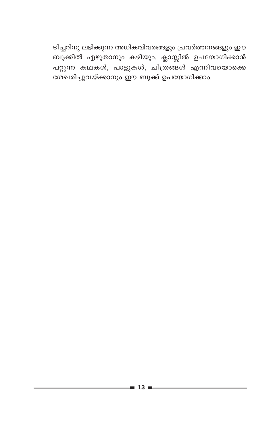ടീച്ചറിനു ലഭിക്കുന്ന അധികവിവരങ്ങളും പ്രവർത്തനങ്ങളും ഈ ബുക്കിൽ എഴുതാനും കഴിയും. ക്ലാസ്സിൽ ഉപയോഗിക്കാൻ പറ്റുന്ന കഥകൾ, പാട്ടുകൾ, ചിത്രങ്ങൾ എന്നിവയൊക്കെ ശേഖരിച്ചുവയ്ക്കാനും ഈ ബുക്ക് ഉപയോഗിക്കാം.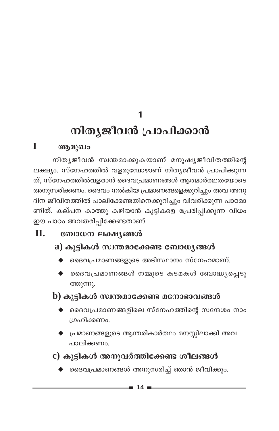1

# നിതൃജീവൻ പ്രാപിക്കാൻ

### T ആമുഖം

നിതൃജീവൻ സ്വന്തമാക്കുകയാണ് മനുഷ്യജീവിതത്തിന്റെ ലക്ഷ്യം. സ്നേഹത്തിൽ വളരുമ്പോഴാണ് നിത്യജീവൻ പ്രാപിക്കുന്ന ത്. സ്നേഹത്തിൽവളരാൻ ദൈവപ്രമാണങ്ങൾ ആത്മാർത്ഥതയോടെ അനുസരിക്കണം. ദൈവം നൽകിയ പ്രമാണങ്ങളെക്കുറിച്ചും അവ അനു ദിന ജീവിതത്തിൽ പാലിക്കേണ്ടതിനെക്കുറിച്ചും വിവരിക്കുന്ന പാഠമാ ണിത്. കല്പന കാത്തു കഴിയാൻ കുട്ടികളെ പ്രേരിപ്പിക്കുന്ന വിധം ഈ പാഠം അവതരിപ്പിക്കേണ്ടതാണ്.

#### $\Pi$ . ബോധന ലക്ഷ്യങ്ങൾ

### a) കുട്ടികൾ സ്വന്തമാക്കേണ്ട ബോധ്യങ്ങൾ

- $\blacklozenge$  മൈപ്രമാണങ്ങളുടെ അടിസ്ഥാനം സ്നേഹമാണ്.
- ദൈവപ്രമാണങ്ങൾ നമ്മുടെ കടമകൾ ബോദ്ധ്യപ്പെടു ത്തുന്നു.

## b) കുട്ടികൾ സ്വന്തമാക്കേണ്ട മനോഭാവങ്ങൾ

- $\blacklozenge$  ദൈവപ്രമാണങ്ങളിലെ സ്നേഹത്തിന്റെ സന്ദേശം നാം ശ്രഹിക്കണം.
- $\blacklozenge$  പ്രമാണങ്ങളുടെ ആന്തരികാർത്ഥം മനസ്സിലാക്കി അവ പാലിക്കണം.
- c) കുട്ടികൾ അനുവർത്തിക്കേണ്ട ശീലങ്ങൾ
	- $\blacklozenge$  ദൈവപ്രമാണങ്ങൾ അനുസരിച്ച് ഞാൻ ജീവിക്കും.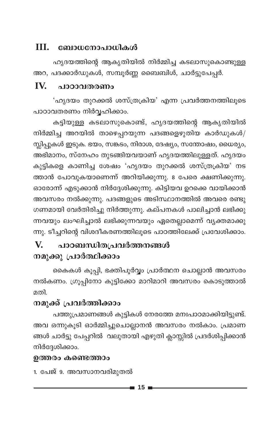### $III.$ ബോധനോപാധികൾ

ഹ്യദയത്തിന്റെ ആകൃതിയിൽ നിർമ്മിച്ച കടലാസുകൊണ്ടുള്ള അറ, പദക്കാർഡുകൾ, സമ്പൂർണ്ണ ബൈബിൾ, ചാർട്ടുപേപ്പർ.

#### $IV.$ <u>പാറാവതരണം</u>

'ഹൃദയം തുറക്കൽ ശസ്ത്രക്രിയ' എന്ന പ്രവർത്തനത്തിലൂടെ പാഠാവതരണം നിർവ്വഹിക്കാം.

കട്ടിയുള്ള കടലാസുകൊണ്ട്, ഹൃദയത്തിന്റെ ആകൃതിയിൽ നിർമ്മിച്ച അറയിൽ താഴെപ്പറയുന്ന പദങ്ങളെഴുതിയ കാർഡുകൾ/ സ്ലിപ്പുകൾ ഇടുക. ഭയം, സങ്കടം, നിരാശ, ദേഷ്യം, സന്തോഷം, ധൈര്യം, അഭിമാനം, സ്നേഹം തുടങ്ങിയവയാണ് ഹൃദയത്തിലുള്ളത്. ഹൃദയം കുട്ടികളെ കാണിച്ച ശേഷം 'ഹൃദയം തുറക്കൽ ശസ്ത്രക്രിയ' നട ത്താൻ പോവുകയാണെന്ന് അറിയിക്കുന്നു. 8 പേരെ ക്ഷണിക്കുന്നു. ഓരോന്ന് എടുക്കാൻ നിർദ്ദേശിക്കുന്നു. കിട്ടിയവ ഉറക്കെ വായിക്കാൻ അവസരം നൽക്കുന്നു. പദങ്ങളുടെ അടിസ്ഥാനത്തിൽ അവരെ രണ്ടു ഗണമായി വേർതിരിച്ചു നിർത്തുന്നു. കല്പനകൾ പാലിച്ചാൻ ലഭിക്കു ന്നവയും ലംഘിച്ചാൽ ലഭിക്കുന്നവയും ഏതെല്ലാമെന്ന് വ്യക്തമാക്കു ന്നു. ടീച്ചറിന്റെ വിശദീകരണത്തിലൂടെ പാഠത്തിലേക്ക് പ്രവേശിക്കാം.

### പാഠബന്ധിതപ്രവർത്തനങ്ങൾ V. നമുക്കു പ്രാർത്ഥിക്കാം

കൈകൾ കൂപ്പി, ഭക്തിപൂർവ്വം പ്രാർത്ഥന ചൊല്ലാൻ അവസരം നൽകണം. ഗ്രൂപ്പിനോ കുട്ടിക്കോ മാറിമാറി അവസരം കൊടുത്താൽ മതി

### നമുക്ക് പ്രവർത്തിക്കാം

പത്തുപ്രമാണങ്ങൾ കുട്ടികൾ നേരത്തേ മനഃപാഠമാക്കിയിട്ടുണ്ട്. അവ ഒന്നുകൂടി ഓർമ്മിച്ചുചൊല്ലാനൻ അവസരം നൽകാം. പ്രമാണ ങ്ങൾ ചാർട്ടു പേപ്പറിൽ വലുതായി എഴുതി ക്ലാസ്സിൽ പ്രദർശിപ്പിക്കാൻ നിർദ്ദേശിക്കാം.

### ഉത്തരം കണ്ടെത്താം

1. പേജ് 9. അവസാനവരിമുതൽ

- 15 -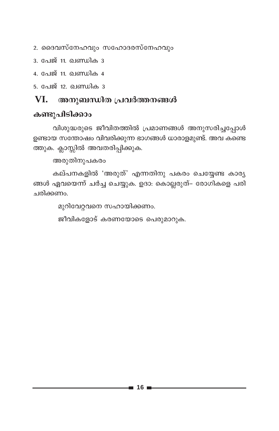- 2. ദൈവസ്നേഹവും സഹോദരസ്നേഹവും
- 3. പേജ് 11. ഖണ്ഡിക 3
- 4. പേജ് 11. ഖണ്ഡിക 4

<u>5. പേജ് 12. ഖണ്ഡിക 3</u>

#### അനുബന്ധിത പ്രവർത്തനങ്ങൾ VI.

### കണ്ടുപിടിക്കാം

വിശുദ്ധരുടെ ജീവിതത്തിൽ പ്രമാണങ്ങൾ അനുസരിച്ചപ്പോൾ ഉണ്ടായ സന്തോഷം വിവരിക്കുന്ന ഭാഗങ്ങൾ ധാരാളമുണ്ട്. അവ കണ്ടെ ത്തുക. ക്ലാസ്സിൽ അവതരിപ്പിക്കുക.

അരുതിനുപകരം

കല്പനകളിൽ 'അരുത്' എന്നതിനു പകരം ചെയ്യേണ്ട കാര്യ ങ്ങൾ ഏവയെന്ന് ചർച്ച ചെയ്യുക. ഉദാ: കൊല്ലരുത്– രോഗികളെ പരി ചരിക്കണം.

മുറിവേറ്റവനെ സഹായിക്കണം.

ജീവികളോട് കരണയോടെ പെരുമാറുക.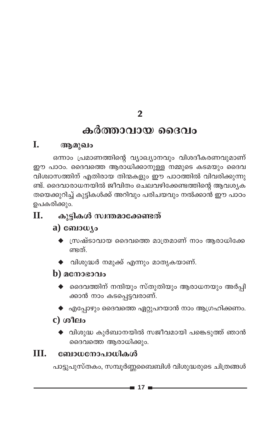$\overline{2}$ 

## കർത്താവായ ദൈവം

#### $\mathbf{I}$ . ആമുഖം

ഒന്നാം പ്രമാണത്തിന്റെ വ്യാഖ്യാനവും വിശദീകരണവുമാണ് ഈ പാഠം. ദൈവത്തെ ആരാധിക്കാനുള്ള നമ്മുടെ കടമയും ദൈവ വിശ്വാസത്തിന് എതിരായ തിന്മകളും ഈ പാഠത്തിൽ വിവരിക്കുന്നു ണ്ട്. ദൈവാരാധനയിൽ ജീവിതം ചെലവഴിക്കേണ്ടത്തിന്റെ ആവശ്യക തയെക്കുറിച്ച് കുട്ടികൾക്ക് അറിവും പരിചയവും നൽക്കാൻ ഈ പാഠം ഉപകരിക്കും.

### Π. കുട്ടികൾ സ്വന്തമാക്കേണ്ടത്

### a)  $\omega_{\text{10}}$

- $\blacklozenge$  സ്രഷ്ടാവായ ദൈവത്തെ മാത്രമാണ് നാം ആരാധിക്കേ ണ്ടത്.
- $\blacklozenge$  വിശുദ്ധർ നമുക്ക് എന്നും മാതൃകയാണ്.

### $\bf{b}$ ) മനോഭാവം

- $\blacklozenge$  ദൈവത്തിന് നന്ദിയും സ്തുതിയും ആരാധനയും അർപ്പി ക്കാൻ നാം കടപ്പെട്ടവരാണ്.
- $\blacklozenge$  എപ്പോഴും ദൈവത്തെ ഏറ്റുപറയാൻ നാം ആഗ്രഹിക്കണം.

### $c)$  ശീലം

 $\blacklozenge$  വിശുദ്ധ കുർബാനയിൽ സജീവമായി പങ്കെടുത്ത് ഞാൻ ദൈവത്തെ ആരാധിക്കും.

#### TIT. ബോധനോപാധികൾ

പാട്ടുപുസ്തകം, സമ്പൂർണ്ണബൈബിൾ വിശുദ്ധരുടെ ചിത്രങ്ങൾ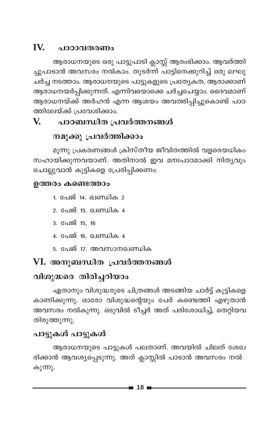### IV. പാഠാവതരണം

ആരാധനയുടെ ഒരു പാട്ടുപാടി ക്ലാസ്സ് ആരംഭിക്കാം. ആവർത്തി ച്ചുപാടാൻ അവസരം നൽകാം. തുടർന്ന് പാട്ടിനെക്കുറിച്ച് ഒരു ലഘു ചർച്ച നടത്താം. ആരാധനയുടെ പാട്ടുകളുടെ പ്രത്യേകത, ആരാക്കാണ് ആരാധനയർപ്പിക്കുന്നത്. എന്നിവയൊക്കെ ചർച്ചചെയ്യാം. ദൈവമാണ് ആരാധനയ്ക്ക് അർഹൻ എന്ന ആശയം അവതരിപ്പിച്ചുകൊണ്ട് പാഠ ത്തിലേയ്ക്ക് പ്രവേശിക്കാം.

### V. പാഠബന്ധിത പ്രവർത്തനങ്ങൾ

## നമുക്കു പ്രവർത്തിക്കാം

മൂന്നു പ്രകരണങ്ങൾ ക്രിസ്തീയ ജീവിതത്തിൽ വളരെയധികം സഹായിക്കുന്നവയാണ്. അതിനാൽ ഇവ മനഃപാഠമാക്കി നിത്യവും ചൊല്ലുവാൻ കുട്ടികളെ പ്രേരിപ്പിക്കണം.

### ഉത്തരം കണ്ടെത്താം

- 1. പേജ് 14. ഖണ്ഡിക 2
- 2. പേജ് 15. ഖണ്ഡിക 4
- 3. പേജ് 15, 16
- 4. പേജ് 16. ഖണ്ഡിക 4
- 5. പേജ് 17. അവസാനഖണ്ഡിക

## VI. അനുബന്ധിത പ്രവർത്തനങ്ങൾ

## വിശുദ്ധരെ തിരിച്ചറിയാം

ഏതാനും വിശുദ്ധരുടെ ചിത്രങ്ങൾ അടങ്ങിയ ചാർട്ട് കുട്ടികളെ കാണിക്കുന്നു. ഓരോ വിശുദ്ധന്റെയും പേര് കണ്ടെത്തി എഴുതാൻ അവസരം നൽകുന്നു. ഒടുവിൽ ടീച്ചർ അത് പരിശോധിച്ച്, തെറ്റിയവ തിരുത്തുന്നു.

## പാട്ടുകൾ പാട്ടുകൾ

ആരാധനയുടെ പാട്ടുകൾ പലതാണ്. അവയിൽ ചിലത് ശേഖ രിക്കാൻ ആവശ്യപ്പെടുന്നു. അത് ക്ലാസ്സിൽ പാടാൻ അവസരം നൽ കുന്നു.

-∎ 18 i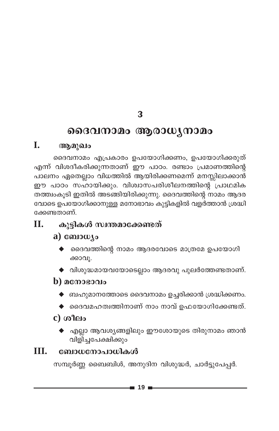$\overline{\mathbf{3}}$ 

## ദൈവനാമം ആരാധൃനാമം

#### Ī. ആമുഖം

ദൈവനാമം എപ്രകാരം ഉപയോഗിക്കണം, ഉപയോഗിക്കരുത് എന്ന് വിശദീകരിക്കുന്നതാണ് ഈ പാഠം. രണ്ടാം പ്രമാണത്തിന്റെ പാലനം ഏതെല്ലാം വിധത്തിൽ ആയിരിക്കണമെന്ന് മനസ്സിലാക്കാൻ ഈ പാഠം സഹായിക്കും. വിശ്വാസപരിശീലനത്തിന്റെ പാഥമിക തത്ത്വംകൂടി ഇതിൽ അടങ്ങിയിരിക്കുന്നു. ദൈവത്തിന്റെ നാമം ആദര വോടെ ഉപയോഗിക്കാനുള്ള മനോഭാവം കുട്ടികളിൽ വളര്ത്താൻ ശ്രദ്ധി ക്കേണ്ടതാണ്.

### കുട്ടികൾ സ്വന്തമാക്കേണ്ടത് **II.**

### a) ബോധ്യം

- ദൈവത്തിന്റെ നാമം ആദരവോടെ മാത്രമേ ഉപയോഗി ക്കാവൂ.
- $\blacklozenge$  വിശുദ്ധമായവയോടെല്ലാം ആദരവു പുലർത്തേണ്ടതാണ്.

### **)**  $\alpha$ **നോഭാവം**

- $\blacklozenge$  ബഹുമാനത്തോടെ ദൈവനാമം ഉച്ചരിക്കാൻ ശ്രദ്ധിക്കണം.
- $\blacklozenge$  ദൈവമഹത്വത്തിനാണ് നാം നാവ് ഉഫയോഗിക്കേണ്ടത്.

## c) ശീലം

എല്ലാ ആവശ്യങ്ങളിലും ഈശോയുടെ തിരുനാമം ഞാൻ വിളിച്ചപേക്ഷിക്കും

### III. ബോധനോപാധികൾ

സമ്പൂർണ്ണ ബൈബിൾ, അനുദിന വിശുദ്ധർ, ചാർട്ടുപേപ്പർ.

-∎ 19 ≡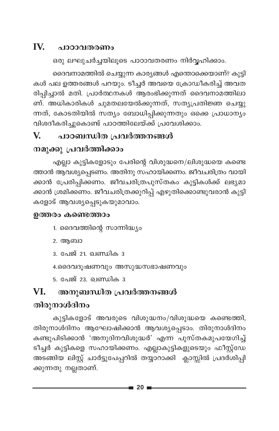### IV. **ം ഥാറാവതരണം**

ഒരു ലഘുചർച്ചയിലൂടെ പാഠാവതരണം നിർവ്വഹിക്കാം.

ദൈവനാമത്തിൽ ചെയ്യുന്ന കാര്യങ്ങൾ എന്തൊക്കെയാണ്? കുട്ടി കൾ പല ഉത്തരങ്ങൾ പറയും. ടീച്ചർ അവയെ ക്രോഡീകരിച്ച് അവത രിപ്പിച്ചാൽ മതി. പ്രാർത്ഥനകൾ ആരംഭിക്കുന്നത് ദൈവനാമത്തിലാ ണ്. അധികാരികൾ ചുമതലയേൽക്കുന്നത്, സത്യപ്രതിജ്ഞ ചെയ്യു ന്നത്, കോടതിയിൽ സത്യം ബോധിപ്പിക്കുന്നതും ഒക്കെ പ്രാധാന്യം വിശദീകരിച്ചുകൊണ്ട് പാഠത്തിലേയ്ക്ക് പ്രവേശിക്കാം.

### പാഠബന്ധിത പ്രവർത്തനങ്ങൾ V.

## നമുക്കു പ്രവർത്തിക്കാം

എല്ലാ കുട്ടികളോടും പേരിന്റെ വിശുദ്ധനെ/ലിശുദ്ധയെ കണ്ടെ ത്താൻ ആവശ്യപ്പെടണം. അതിനു സഹായിക്കണം. ജീവചരിത്രം വായി .<br>ക്കാൻ പ്രേരിപ്പിക്കണം. ജീവചരിത്രപുസ്തകം കുട്ടികൾക്ക് ലഭ്യമാ ക്കാൻ ശ്രമിക്കണം. ജീവചരിത്രക്കുറിപ്പ് എഴുതിക്കൊണ്ടുവരാൻ കുട്ടി കളോട് ആവശ്യപ്പെടുകയുമാവാം.

### ഉത്തരം കണ്ടെത്താം

- 1. ദൈവത്തിന്റെ സാന്നിദ്ധ്യം
- 2. ആബാ
- 3. പേജ് 21. ഖണ്ഡിക 3
- 4.ദൈവദൂഷണവും അസുദ്ധസഭാഷണവും
- <u>5. പേജ് 23. ഖണ്ഡിക 3</u>

### VI. അനുബന്ധിത പ്രവർത്തനങ്ങൾ

## തിരുനാൾദിനം

കുട്ടികളോട് അവരുടെ വിശുദ്ധനം/വിശുദ്ധയെ കണ്ടെത്തി, തിരുനാൾദിനം ആഘോഷിക്കാൻ ആവശ്യപ്പെടാം. തിരുനാൾദിനം കണ്ടുപിടിക്കാൻ 'അനുദിനവിശുദ്ധർ' എന്ന പുസ്തകമുപയേഗിച്ച<mark>്</mark> ടീച്ചർ കുട്ടികളെ സഹായിക്കണം. എല്ലാകുട്ടികളുടെയും ഫീസ്റ്റ്ഡേ അടങ്ങിയ ലിസ്റ്റ് ചാർട്ടുപേപ്പറിൽ തയ്യാറാക്കി ക്ലാസ്സിൽ പ്രദർശിപ്പി ക്കുന്നതു നല്ലതാണ്.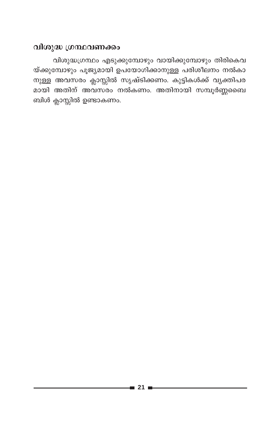### വിശുദ്ധ ഗ്രന്ഥവണക്കം

വിശുദ്ധഗ്രന്ഥം എടുക്കുമ്പോഴും വായിക്കുമ്പോഴും തിരികെവ യ്ക്കുമ്പോഴും പൂജ്യമായി ഉപയോഗിക്കാനുള്ള പരിശീലനം നൽകാ നുള്ള അവസരം ക്ലാസ്സിൽ സൃഷ്ടിക്കണം. കുട്ടികൾക്ക് വൃക്തിപര മായി അതിന് അവസ്രം നൽകണം. അതിനായി സമ്പൂർണ്ണമൈ ബിൾ ക്ലാസ്സിൽ ഉണ്ടാകണം.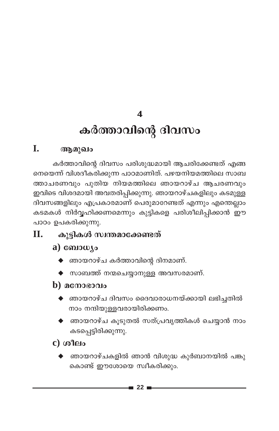$\boldsymbol{\Lambda}$ 

# കർത്താവിന്റെ ദിവസം

### L. ആമുഖം

കർത്താവിന്റെ ദിവസം പരിശുദ്ധമായി ആചരിക്കേണ്ടത് എങ്ങ നെയെന്ന് വിശദീകരിക്കുന്ന പാഠമാണിത്. പഴയനിയമത്തിലെ സാബ ത്താചരണവും പുതിയ നിയമത്തിലെ ഞായറാഴ്ച ആചരണവും ഇവിടെ വിശദമായി അവതരിപ്പിക്കുന്നു. ഞായറാഴ്ചകളിലും കടമുള്ള ദിവസങ്ങളിലും എപ്രകാരമാണ് പെരുമാറേണ്ടത് എന്നും എന്തെല്ലാം കടമകൾ നിർവ്വഹിക്കണമെന്നും കുട്ടികളെ പരിശീലിപ്പിക്കാൻ ഈ പാഠം ഉപകരിക്കുന്നു.

### Π. കൂട്ടികൾ സ്വന്തമാക്കേണ്ടത്

- a) ബോധ്യം
	- $\blacklozenge$  ഞായറാഴ്ച കർത്താവിന്റെ ദിനമാണ്.
	- $\blacklozenge$  സാബത്ത് നന്മചെയ്യാനുള്ള അവസരമാണ്.
- b)  $\alpha$  conserved
	- $\blacklozenge$  ഞായറാഴ്ച ദിവസം ദൈവാരാധനയ്ക്കായി ലഭിച്ചതിൽ നാം നന്ദിയുള്ളവരായിരിക്കണം.
	- $\blacklozenge$  ഞായറാഴ്ച കൂടുതൽ സത്പ്രവൃത്തികൾ ചെയ്യാൻ നാം കടപ്പെട്ടിരിക്കുന്നു.
- $c)$  ശീലം
	- $\blacklozenge$  ഞായറാഴ്ചകളിൽ ഞാൻ വിശുദ്ധ കുർബാനയിൽ പങ്കു കൊണ്ട് ഈശോയെ സ്വീകരിക്കും.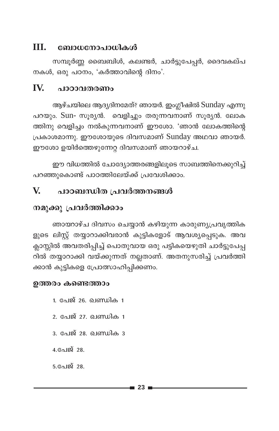#### III. ബോധനോപാധികൾ

സമ്പൂർണ്ണ ബൈബിൾ, കലണ്ടർ, ചാർട്ടുപേപ്പർ, ദൈവകല്പ നകൾ, ഒരു പഠനം, 'കർത്താവിന്റെ ദിനം'.

#### IV. പാഠാവതരണം

ആഴ്ചയിലെ ആദ്യദിനമേത്? ഞായർ. ഇംഗ്ലീഷിൽ Sunday എന്നു പറയും. Sun- സൂര്യൻ. വെളിച്ചും തരുന്നവനാണ് സൂര്യൻ. ലോക ത്തിനു വെളിച്ചം നൽകുന്നവനാണ് ഈശോ. 'ഞാൻ ലോകത്തിന്റെ പ്രകാശമാന്നു. ഈശോയുടെ ദിവസമാണ് Sunday അഥവാ ഞായർ. ഈശോ ഉയിർത്തെഴുന്നേറ്റ ദിവസമാണ് ഞായറാഴ്ച.

ഈ വിധത്തിൽ ചോദ്യോത്തരങ്ങളിലൂടെ സാബത്തിനെക്കുറിച്ച് പറഞ്ഞുകൊണ്ട് പാഠത്തിലേയ്ക്ക് പ്രവേശിക്കാം.

### V. പാഠബന്ധിത പ്രവർത്തനങ്ങൾ

## നമുക്കു പ്രവർത്തിക്കാം

ഞായറാഴ്ച ദിവസം ചെയ്യാൻ കഴിയുന്ന കാരുണ്യപ്രവൃത്തിക ളുടെ ലിസ്റ്റ് തയ്യാറാക്കിവരാൻ കുട്ടികളോട് ആവശ്യപ്പെടുക. അവ ക്ലാസ്സിൽ അവതരിപ്പിച്ച് പൊതുവായ ഒരു പട്ടികയെഴുതി ചാർട്ടുപേപ്പ റിൽ തയ്യാറാക്കി വയ്ക്കുന്നത് നല്ലതാണ്. അതനുസരിച്ച് പ്രവർത്തി ക്കാൻ കുട്ടികളെ പ്രോത്സാഹിപ്പിക്കണം.

### ഉത്തരം കണ്ടെത്താം

1. പേജ് 26. ഖണ്ഡിക 1 2. പേജ് 27. ഖണ്ഡിക 1 3. പേജ് 28. **ഖണ്ഡിക** 3  $4.$ പേജ് 28.  $5.$ പേജ് 28.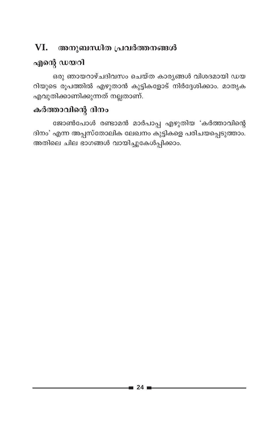### VI. അനുബന്ധിത പ്രവർത്തനങ്ങൾ

## എന്റെ ഡയറി

ഒരു ഞായറാഴ്ചദിവസം ചെയ്ത കാര്യങ്ങൾ വിശദമായി ഡയ റിയുടെ രൂപത്തിൽ എഴുതാൻ കുട്ടികളോട് നിർദ്ദേശിക്കാം. മാതൃക എവുതിക്കാണിക്കുന്നത് നല്ലതാണ്.

## കർത്താവിന്റെ ദിനം

ജോൺപോൾ രണ്ടാമൻ മാർപാപ്പ എഴുതിയ 'കർത്താവിന്റെ ദിനം' എന്ന അപ്പസ്തോലിക ലേഖനം കുട്ടികളെ പരിചയപ്പെടുത്താം. അതിലെ ചില ഭാഗങ്ങൾ വായിച്ചുകേൾപ്പിക്കാം.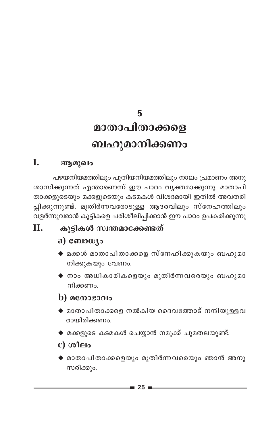5

# മാതാപിതാക്കളെ ബഹുമാനിക്കണം

#### L. ആമുഖം

പഴയനിയമത്തിലും പുതിയനിയമത്തിലും നാലം പ്രമാണം അനു ശാസിക്കുന്നത് എന്താണെന്ന് ഈ പാഠം വ്യക്തമാക്കുന്നു. മാതാപി താക്കളുടെയും മക്കളുടെയും കടമകൾ വിശദമായി ഇതിൽ അവതരി പ്പിക്കുന്നുണ്ട്. മുതിർന്നവരോടുള്ള ആദരവിലും സ്നേഹത്തിലും വളർന്നുവരാൻ കുട്ടികളെ പരിശീലിപ്പിക്കാൻ ഈ പാഠം ഉപകരിക്കുന്നു

### കുട്ടികൾ സ്വന്തമാക്കേണ്ടത് Π.

## a)  $\omega_{\text{10}}$

- $\blacklozenge$  മക്കൾ മാതാപിതാക്കളെ സ്നേഹിക്കുകയും ബഹുമാ നിക്കുകയും വേണം.
- $\blacklozenge$  നാം അധികാരികളെയും മുതിർന്നവരെയും ബഹുമാ നിക്കണം.

## $\mathbf b)$  മനോഭാവം

- $\blacklozenge$  മാതാപിതാക്കളെ നൽകിയ ദൈവത്തോട് നന്ദിയുള്ളവ രായിരിക്കണം.
- $\blacklozenge$  മക്കളുടെ കടമകൾ ചെയ്യാൻ നമുക്ക് ചുമതലയുണ്ട്.
- c) ശീലം
- $\blacklozenge$  മാതാപിതാക്കളെയും മുതിർന്നവരെയും ഞാൻ അനു സരിക്കും.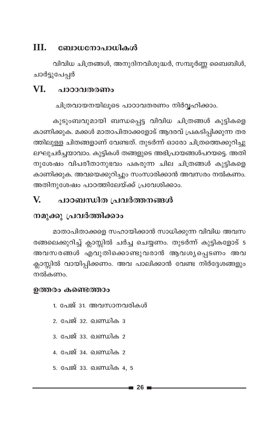#### III. ബോധനോപാധികൾ

വിവിധ ചിത്രങ്ങൾ, അനുദിനവിശുദ്ധർ, സമ്പൂർണ്ണ ബൈബിൾ, ചാർട്ടുപേപ്പർ

#### VI. പാഠാവതരണം

ചിത്രവായനയിലൂടെ പാഠാവതരണം നിർവ്വഹിക്കാം.

കുടുംബവുമായി ബന്ധപ്പെട്ട വിവിധ ചിത്രങ്ങൾ കുട്ടികളെ കാണിക്കുക. മക്കൾ മാതാപിതാക്കളോട് ആദരവ് പ്രകടിപ്പിക്കുന്ന തര ത്തിലുള്ള ചിതങ്ങളാണ് വേണ്ടത്. തുടർന്ന് ഓരോ ചിത്രത്തെക്കുറിച്ചു ലഘുചർച്ചയാവാം. കുട്ടികൾ തങ്ങളുടെ അഭിപ്രായങ്ങൾപറയട്ടെ. അതി നുശേഷം വിപരീതാനുഭവം പകരുന്ന ചില ചിത്രങ്ങൾ കുട്ടികളെ കാണിക്കുക. അവയെക്കുറിച്ചും സംസാരിക്കാൻ അവസരം നൽകണം. അതിനുശേഷം പാഠത്തിലേയ്ക്ക് പ്രവേശിക്കാം.

#### $\mathbf{V}$ പാഠബന്ധിത പ്രവർത്തനങ്ങൾ

### നമുക്കു പ്രവർത്തിക്കാം

മാതാപിതാക്കളെ സഹായിക്കാൻ സാധിക്കുന്ന വിവിധ അവസ രങ്ങലെക്കുറിച്ച് ക്ലാസ്സിൽ ചർച്ച ചെയ്യണം. തുടർന്ന് കുട്ടികളോട് 5 അവസരങ്ങൾ എവുതിക്കൊണ്ടുവരാൻ ആവശ്യപ്പെടണം <mark>അവ</mark> ക്ലാസ്സിൽ വായിപ്പിക്കണം. അവ പാലിക്കാൻ വേണ്ട നിർദ്ദേശങ്ങളും നൽകണം.

### ഉത്തരം കണ്ടെത്താം

- 1. പേജ് 31. അവസാനവരികൾ
- 2. പേജ് 32. ഖണ്ഡിക 3
- <u>3. പേജ് 33. ഖണ്ഡിക 2</u>
- $\frac{1}{2}$  പേജ് 34 ലെ ബ്രിക 2
- 5. പേജ് 33. ഖണ്ഡിക 4, 5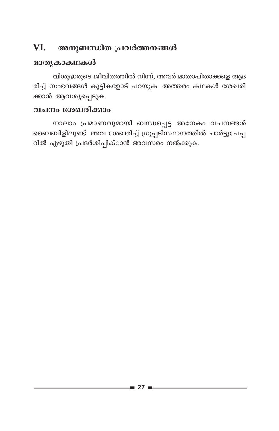### VI. അനുബന്ധിത പ്രവർത്തനങ്ങൾ

### മാതൃകാകഥകൾ

വിശുദ്ധരുടെ ജീവിതത്തിൽ നിന്ന്, അവർ മാതാപിതാക്കളെ ആദ രിച്ച് സംഭവങ്ങൾ കുട്ടികളോട് പറയുക. അത്തരം കഥകൾ ശേഖരി ക്കാൻ ആവശ്യപ്പെടുക.

### വചനം ശേഖരിക്കാം

നാലാം പ്രമാണവുമായി ബന്ധപ്പെട്ട അനേകം വചനങ്ങൾ ബൈബിളിലുണ്ട്. അവ ശേഖരിച്ച് ഗ്രൂപ്പടിസ്ഥാനത്തിൽ ചാർട്ടുപേപ്പ റിൽ എഴുതി പ്രദർശിപ്പിക്ാൻ അവസരം നൽക്കുക.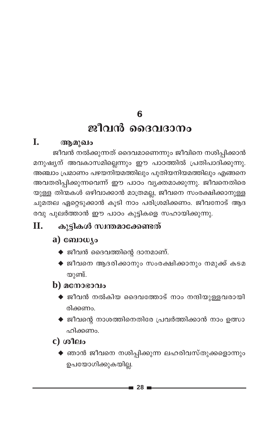6

## ജീവൻ ദൈവദാനം

### L. ആമുഖം

ജീവൻ നൽക്കുന്നത് ദൈവമാണെന്നും ജീവിനെ നശിപ്പിക്കാൻ മനുഷ്യന് അവകാസമില്ലെന്നും ഈ പാഠത്തിൽ പ്രതിപാദിക്കുന്നു. അഞ്ചാം പ്രമാണം പഴയനിയമത്തിലും പുതിയനിയമത്തിലും എങ്ങനെ അവതരിപ്പിക്കുന്നവെന്ന് ഈ പാഠം വ്യക്തമാക്കുന്നു. ജീവനെതിരെ യുള്ള തിന്മകൾ ഒഴിവാക്കാൻ മാത്രമല്ല, ജീവനെ സംരക്ഷിക്കാനുള്ള ചുമതല ഏറ്റെടുക്കാൻ കൂടി നാം പരിശ്രമിക്കണം. ജീവനോട് ആദ രവു പുലർത്താൻ ഈ പാഠം കുട്ടികളെ സഹായിക്കുന്നു.

### Π. കുട്ടികൾ സ്വന്തമാക്കേണ്ടത്

## a) ബോധ്യം

- $\blacklozenge$  ജീവൻ ദൈവത്തിന്റെ ദാനമാണ്.
- ♦ ജീവനെ ആദരിക്കാനും സംരക്ഷിക്കാനും നമുക്ക് കടമ യുണ്ട്.

## $\bf{b}$ ) മനോഭാവം

- $\blacklozenge$  ജീവൻ നൽകിയ ദൈവത്തോട് നാം നന്ദിയുള്ളവരായി രിക്കണം.
- $\blacklozenge$  ജീവന്റെ നാശത്തിനെതിരേ പ്രവർത്തിക്കാൻ നാം ഉത്സാ ഹിക്കണം.
- $c)$  ശീലം
	- $\blacklozenge$  ഞാൻ ജീവനെ നശിപ്പിക്കുന്ന ലഹരിവസ്തുക്കളൊന്നും ഉപയോഗിക്കുകയില്ല.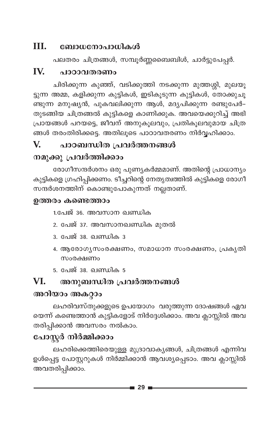### III. ബോധനോപാധികൾ

പലതരം ചിത്രങ്ങൾ, സമ്പൂർണ്ണബൈബിൾ, ചാർട്ടുപേപ്പർ.

#### IV. പാഠാവതരണം

ചിരിക്കുന്ന കുഞ്ഞ്, വടിക്കുത്തി നടക്കുന്ന മുത്തശ്ശി, മുലയൂ ട്ടുന്ന അമ്മ, കളിക്കുന്ന കുട്ടികൾ, ഇടികൂടുന്ന കുട്ടികൾ, തോക്കുചൂ ണ്ടുന്ന മനുഷ്യൻ, പുകവലിക്കുന്ന ആൾ, മദ്യപിക്കുന്ന രണ്ടുപേർ– തുടങ്ങിയ ചിത്രങ്ങൽ കുട്ടികളെ കാണിക്കുക. അവയെക്കുറിച്ച് അഭി പ്രായങ്ങൾ പറയട്ടെ, ജീവന് അനുകൂലവും, പ്രതികൂലവുമായ ചിത്ര ങ്ങൾ തരംതിരിക്കട്ടെ. അതിലൂടെ പാഠാവതരണം നിർവ്വഹിക്കാം.

#### $\mathbf{V}$ പാഠബന്ധിത പ്രവർത്തനങ്ങൾ

## നമുക്കു പ്രവർത്തിക്കാം

രോഗീസന്ദർശനം ഒരു പുണ്യകർമ്മമാണ്. അതിന്റെ പ്രാധാന്യം കുട്ടികളെ ഗ്രഹിപ്പിക്കണം. ടീച്ചറിന്റെ നേതൃത്വത്തിൽ കുട്ടികളെ രോഗീ സന്ദർശനത്തിന് കൊണ്ടുപോകുന്നത് നല്ലതാണ്.

### ഉത്തരം കണ്ടെത്താം

1.പേജ് 36. അവസാന ഖണ്ഡിക

- 2. പേജ് 37. അവസാനഖണ്ഡിക മുതൽ
- <u>3. പേജ് 38. ഖണ്ഡിക 3</u>
- 4. ആരോഗ്യസംരക്ഷണം, സമാധാന സംരക്ഷണം, പ്രകൃതി സംരക്ഷണം
- 5. പേജ് 38. ഖണ്ഡിക 5

### VI. അനുബന്ധിത പ്രവർത്തനങ്ങൾ

## അറിയാം അകറ്റാം

ലഹരിവസ്തുക്കളുടെ ഉപയോഗം വരുത്തുന്ന ദോഷങ്ങൾ ഏവ യെന്ന് കണ്ടെത്താൻ കുട്ടികളോട് നിർദ്ദേശിക്കാം. അവ ക്ലാസ്സിൽ അവ തരിപ്പിക്കാൻ അവസരം നൽകാം.

## പോസ്റ്റർ നിർമ്മിക്കാം

ലഹരിക്കെത്തിരെയുള്ള മുദ്രാവാകൃങ്ങൾ, ചിത്രങ്ങൾ എന്നിവ ഉൾപ്പെട്ട പോസ്റ്ററുകൾ നിർമ്മിക്കാൻ ആവശ്യപ്പെടാം. അവ ക്ലാസ്സിൽ അവതരിപ്പിക്കാം.

 $\blacksquare$  29  $\blacksquare$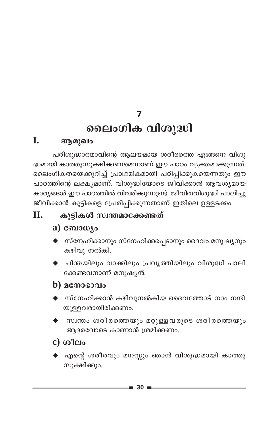7

# ലൈംഗിക വിശുദ്ധി

#### L. ആമുഖം

പരിശുദ്ധാത്മാവിന്റെ ആലയമായ ശരീരത്തെ എങ്ങനെ വിശു ദ്ധമായി കാത്തുസൂക്ഷിക്കണമെന്നാണ് ഈ പാഠം വ്യക്തമാക്കുന്നത്. ലൈംഗികതയെക്കുറിച്ച് പ്രാഥമികമായി പഠിപ്പിക്കുകയെന്നതും ഈ പാഠത്തിന്റെ ലക്ഷ്യമാണ്. വിശുദ്ധിയോടെ ജീവിക്കാൻ ആവശ്യമായ കാര്യങ്ങൾ ഈ പാഠത്തിൽ വിവരിക്കുന്നുണ്ട്. ജീവിതവിശുദ്ധി പാലിച്ചു ജീവിക്കാൻ കുട്ടികളെ പ്രേരിപ്പിക്കുന്നതാണ് ഇതിലെ ഉള്ളടക്കം

### കുട്ടികൾ സ്വന്തമാക്കേണ്ടത് П.

## a)  $\omega_{\text{10}}$

- $\blacklozenge$  സ്നേഹിക്കാനും സ്നേഹിക്കപ്പെടാനും ദൈവം മനുഷ്യനും കഴിവു നൽകി.
- $\blacklozenge$  ചിന്തയിലും വാക്കിലും പ്രവൃത്തിയിലും വിശുദ്ധി പാലി ക്കേണ്ടവനാണ് മനുഷ്യൻ.

## $\bf{b}$ ) മനോഭാവം

- $\blacklozenge$  സ്നേഹിക്കാൻ കഴിവുനൽകിയ ദൈവത്തോട് നാം നന്ദി യുള്ളവരായിരിക്കണം.
- സ്വന്തം ശരീരത്തെയും മറ്റുള്ളവരുടെ ശരീരത്തെയും ആദരവോടെ കാണാൻ ശ്രമിക്കണം.

## $c)$  ശീലം

 $\blacklozenge$  എന്റെ ശരീരവും മനസ്സും ഞാൻ വിശുദ്ധമായി കാത്തു സൂക്ഷിക്കും.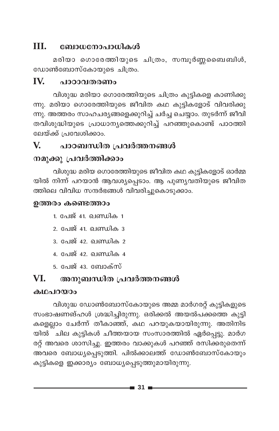### III. ബോധനോപാധികൾ

മരിയാ ഗൊരേത്തിയുടെ ചിത്രം, സമ്പൂർണ്ണമൈബിൾ, ഡോൺബോസ്കോയുടെ ചിത്രം.

#### IV പാറാവതരണം

വിശുദ്ധ മരിയാ ഗൊരേത്തിയുടെ ചിത്രം കുട്ടികളെ കാണിക്കു ന്നു. മരിയാ ഗൊരേത്തിയുടെ ജീവിത കഥ കുട്ടികളോട് വിവരിക്കു ന്നു. അത്തരം സാഹചര്യങ്ങളെക്കുറിച്ച് ചർച്ച ചെയ്യാം. തുടർന്ന് ജീവി തവിശുദ്ധിയുടെ പ്രാധാന്യത്തെക്കുറിച്ച് പറഞ്ഞുകൊണ്ട് പാഠത്തി ലേയ്ക്ക് പ്രവേശിക്കാം.

#### V. പാഠബന്ധിത പ്രവർത്തനങ്ങൾ

### നമുക്കു പ്രവർത്തിക്കാം

വിശുദ്ധ മരിയ ഗൊരേത്തിയുടെ ജീവിത കഥ കുട്ടികളോട് ഓർമ്മ യിൽ നിന്ന് പറയാൻ ആവശ്യപ്പെടാം. ആ പുണ്യവതിയുടെ ജീവിത ത്തിലെ വിവിധ സന്ദർഭങ്ങൾ വിവരിച്ചുകൊടുക്കാം.

### ഉത്തരം കണ്ടെത്താം

- <u>1. പേജ് 41. ഖണ്ഡിക 1</u>
- 2. പേജ് 41. ഖണ്ഡിക 3
- 3. പേജ് 42. ഖണ്ഡിക 2
- 4. പേജ് 42. ഖണ്ഡിക 4
- 5. പേജ് 43. ബോക്സ്

#### അനുബന്ധിത പ്രവർത്തനങ്ങൾ VI.

### കഥപറയാപ

വിശുദ്ധ ഡോൺബോസ്കോയുടെ അമ്മ മാർഗരറ്റ് കുട്ടികളുടെ സംഭാഷണങ്ഹൾ ശ്രദ്ധിച്ചിരുന്നു. ഒരിക്കൽ അയൽപക്കത്തെ കുട്ടി കളെല്ലാം ചേർന്ന് തീകാഞ്ഞ്, കഥ പറയുകയായിരുന്നു. അതിനിട യിൽ `ചില കുട്ടികൾ ചീത്തയായ സംസാരത്തിൽ ഏർപ്പെട്ടു. മാർഗ രറ്റ് അവരെ ശാസിച്ചു. ഇത്തരം വാക്കുകൾ പറഞ്ഞ് രസിക്കരുതെന്ന് അവരെ ബോധ്യപ്പെടുത്തി. പിൽക്കാലത്ത് ഡോൺബോസ്കോയും കുട്ടികളെ ഇക്കാര്യം ബോധ്യപ്പെടുത്തുമായിരുന്നു.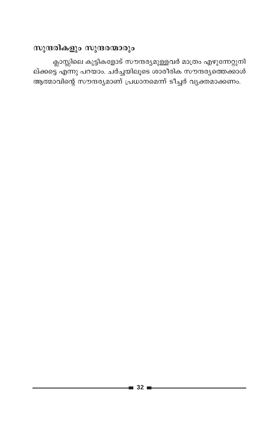## സുന്ദരികളും സുന്ദരന്മാരും

ക്ലാസ്സിലെ കുട്ടികളോട് സൗന്ദര്യമുള്ളവർ മാത്രം എഴുന്നേറ്റുനി ല്ക്കട്ടെ എന്നു പറയാം. ചർച്ചയിലൂടെ ശാരീരിക സൗന്ദര്യത്തെക്കാൾ ആത്മാവിന്റെ സൗന്ദര്യമാണ് പ്രധാനമെന്ന് ടീച്ചർ വ്യക്തമാക്കണം.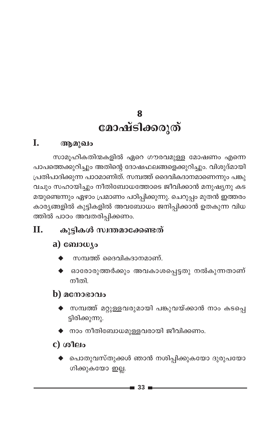# 8 മോഷ്ടിക്കരുത്

### I. ആമുഖം

സാമൂഹികതിന്മകളിൽ ഏറെ ഗൗരവമുള്ള മോഷണം എന്നെ പാപത്തെക്കുറിച്ചും അതിന്റെ ദോഷഫലങ്ങളെക്കുറിച്ചും. വിശുദ്മായി പ്രതിപാദിക്കുന്ന പാഠമാണിത്. സമ്പത്ത് ദൈവികദാനമാണെന്നും പങ്കു വചും സഹായിച്ചും നീതിബോധത്തോടെ ജീവിക്കാൻ മനുഷ്യനു കട മയുണ്ടെന്നും ഏഴാം പ്രമാണം പഠിപ്പിക്കുന്നു. ചെറുപ്പം മുതൻ ഇത്തരം കാര്യങ്ങളിൽ കുട്ടികളിൽ അവബോധം ജനിപ്പിക്കാൻ ഉതകുന്ന വിധ ത്തിൽ പാഠം അവതരിപ്പിക്കണം.

### Π. കുട്ടികൾ സ്വന്തമാക്കേണ്ടത്

## a)  $\omega_{\text{10}}$

- സമ്പത്ത് ദൈവികദാനമാണ്.
- ഓരോരുത്തർക്കും അവകാശപ്പെട്ടതു നൽകുന്നതാണ് നീതി.

## **)**  $\alpha$ **നോഭാവം**

- ♦ സമ്പത്ത് മറ്റുള്ളവരുമായി പങ്കുവയ്ക്കാൻ നാം കടപ്പെ ട്ടിരിക്കുന്നു.
- $\blacklozenge$  നാം നീതിബോധമുള്ളവരായി ജീവിക്കണം.

## c) ശീലം

 $\blacklozenge$  പൊതുവസ്തുക്കൾ ഞാൻ നശിപ്പിക്കുകയോ ദുരുപയോ ഗിക്കുകയോ ഇല്ല.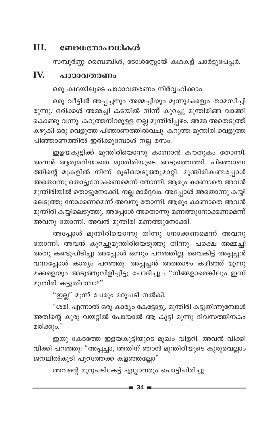#### Ш. ബോധനോപാധികൾ

സമ്പൂർണ്ണ ബൈബിൾ, ടോൾസ്റ്റോയ് കഥകള് ചാർട്ടുപേപ്പർ.

#### IV. പാഠാവതരണം

ഒരു കഥയിലൂടെ പാഠാവതരണം നിർവ്വഹിക്കാം.

ഒരു വീട്ടിൽ അപ്പച്ചനും അമ്മച്ചിയും മൂന്നുമക്കളും താമസിച്ചി രുന്നു. ഒരിക്കൾ അമ്മച്ചി കടയിൽ നിന്ന് കുറച്ചു മുന്തിരിങ്ങ വാങ്ങി കൊണ്ടു വന്നു. കറുത്തനിറമുള്ള നല്ല മുന്തിരിപ്പഴം. അമ്മ അതെടുത്ത് കഴുകി ഒരു വെളുത്ത പിഞാണത്തിൽവചു. കറുത്ത മുന്തിരി വെളുത്ത പിഞ്ഞാണത്തിൽ ഇരിക്കുമ്പോൾ നല്ല രസം.

ഇളയകുട്ടിക്ക് മുന്തിരിയൊന്നു കാണാൻ കൗതുകം തോന്നി. അവൻ ആരുമറിയാതെ മുന്തിരിയുടെ അടുത്തെത്തി. പിഞ്ഞാണ ത്തിന്റെ മുകളിൽ നിന്ന് മൂടിയെടുത്തുമാറ്റി. മുന്തിരികണ്ടപ്പോൾ അതൊന്നു തൊട്ടുനോക്കണമെന്ന് തോന്നി. ആരും കാണാതെ അവൻ മുന്തിരിയിൽ തൊട്ടുനോക്കി. നല്ല മാർദ്ദവം. അപ്പോൾ അതൊന്നു കയ്യി ലെടുത്തു നോക്കണമെന്ന് അവനു തോന്നി. ആരും കാണാതെ അവൻ മുന്തിരി കയ്യിലെടുത്തു. അപ്പോൾ അതൊന്നു മണത്തുനോക്കണമെന്ന് അവനു തോന്നി. അവൻ മുന്തിരി മണത്തുനോക്കി.

അപ്പോൾ മുന്തിരിയൊന്നു തിന്നു നോക്കണമെന്ന് അവനു തോന്നി. അവൻ കുറച്ചുമുന്തിരിയെടുത്തു തിന്നു. പക്ഷെ അമ്മച്ചി അതു കണ്ടുപിടിച്ചു അപ്പോൾ ഒന്നും പറഞ്ഞില്ല. വൈകിട്ട് അപ്പച്ചൻ വന്നപ്പോൾ കാര്യം പറഞ്ഞു. അപ്പച്ചൻ അത്താഴം കഴിഞ്ഞ് മൂന്നു മക്കളെയും അടുത്തുവിളിച്ചിട്ടു ചോദിച്ചു : "നിങ്ങളാരെങ്കിലും ഇന്ന് മുന്തിരി കട്ടുതിന്നോ?"

"ഇല്ല" മൂന്ന് പേരും മറുപടി നൽകി.

"ശരി. എന്നാൽ ഒരു കാര്യം കേട്ടോളൂ. മുന്തിരി കട്ടുതിന്നുമ്പോൾ അതിന്റെ കുരു വയറ്റിൽ പോയാൽ ആ കുട്ടി മൂന്നു ദിവസത്തിനകം മരിക്കും."

ഇതു കേടത്തേ ഇളയകുട്ടിയുടെ മുഖം വിളറി. അവൻ വിക്കി വിക്കി പറഞ്ഞു: "അപ്പച്ചാ, അതിന് ഞാൻ മുന്തിരിയുടെ കുരുവെല്ലാം ജനലിൽകൂടി പുറത്തേക്ക കളഞ്ഞല്ലോ"

അവന്റെ മുറുപടികേട്ട് എല്ലാവരും പൊട്ടിചിരിച്ചു.

 $\equiv$  34  $\equiv$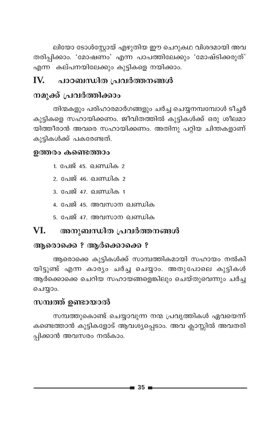ലിയോ ടോൾസ്റ്റോയ് എഴുതിയ ഈ ചെറുകഥ വിശദമായി അവ തരിപ്പിക്കാം. 'മോഷണം' എന്ന പാപത്തിലേക്കും 'മോഷ്ടിക്കരുത്' എന്ന കല്പനയിലേക്കും കുട്ടികളെ നയിക്കാം.

### പാഠബന്ധിത പ്രവർത്തനങ്ങൾ IV

## നമുക്ക് പ്രവർത്തിക്കാം

തിന്മകളും പരിഹാരമാർഗങ്ങളും ചർച്ച ചെയ്യനമ്പന്വോൾ ടീച്ചർ കുട്ടികളെ സഹായിക്കണം. ജീവിതത്തിൽ കുട്ടികൾക്ക് ഒരു ശീലമാ യിത്തീരാൻ അവരെ സഹായിക്കണം. അതിനു പറ്റിയ ചിന്തകളാണ് കുട്ടികൾക്ക് പകരേണ്ടത്.

### ഉത്തരം കണ്ടെത്താം

- 1. പേജ് 45. ഖണ്ഡിക 2
- 2. പേജ് 46. ഖണ്ഡിക 2
- 3. പേജ് 47. ഖണ്ഡിക 1
- 4. പേജ് 45. അവസാന ഖണ്ഡിക
- 5. പേജ് 47. അവസാന ഖണ്ഡിക

#### VI. അനുബന്ധിത പ്രവർത്തനങ്ങൾ

## ആരൊക്കെ ? ആർക്കൊക്കെ ?

ആരൊക്കെ കുട്ടികൾക്ക് സാമ്പത്തികമായി സഹായം നൽകി യിട്ടുണ്ട് എന്ന കാര്യം ചർച്ച ചെയ്യാം. അതുപോലെ കുട്ടികൾ ആർക്കൊക്കെ ചെറിയ സഹായങ്ങളെങ്കിലും ചെയ്തുവെന്നും ചർച്ച ചെയ്യാം.

### സമ്പത്ത് ഉണ്ടായാൽ

സമ്പത്തുകൊണ്ട് ചെയ്യാവുന്ന നന്മ പ്രവൃത്തികൾ ഏവയെന്ന് കണ്ടെത്താൻ കുട്ടികളോട് ആവശ്യപ്പെടാം. അവ ക്ലാസ്സിൽ അവതരി പ്പിക്കാൻ അവസരം നൽകാം.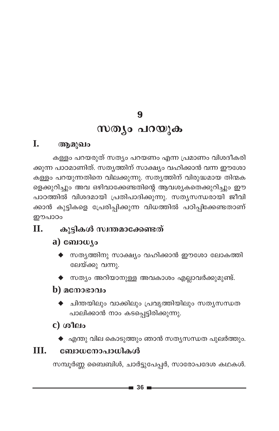$\boldsymbol{9}$ 

## സത്യം പറയുക

#### L. ആമുഖം

കള്ളം പറയരുത് സത്യം പറയണം എന്ന പ്രമാണം വിശദീകരി ക്കുന്ന പാഠമാണിത്. സതൃത്തിന് സാക്ഷ്യം വഹിക്കാൻ വന്ന ഈശോ കള്ളം പറയുന്നതിനെ വിലക്കുന്നു. സതൃത്തിന് വിരുദ്ധമായ തിന്മക ളെക്കുറിച്ചും അവ ഒഴിവാക്കേണ്ടതിന്റെ ആവശ്യകതെക്കുറിച്ചും ഈ പാഠത്തിൽ വിശദമായി പ്രതിപാദിക്കുന്നു. സത്യസന്ധരായി ജീവി ക്കാൻ കുട്ടികളെ പ്രേരിപ്പിക്കുന്ന വിധത്തിൽ പഠിപ്പിക്കേണ്ടതാണ് ഈപാഠം

### കുട്ടികൾ സ്വന്തമാക്കേണ്ടത് Π.

## $a)$  consulto

- $\blacklozenge$  സതൃത്തിനു സാക്ഷ്യം വഹിക്കാൻ ഈശോ ലോകത്തി ലേയ്ക്കു വന്നു.
- $\blacklozenge$  സത്യം അറിയാനുള്ള അവകാശം എല്ലാവർക്കുമുണ്ട്.

## $\bf{b}$ )  $\bf{a}$ c $\bf{a}$ o $\bf{a}$ o $\bf{a}$ o

 $\blacklozenge$  ചിന്തയിലും വാക്കിലും പ്രവൃത്തിയിലും സതൃസന്ധത പാലിക്കാൻ നാം കടപ്പെട്ടിരിക്കുന്നു.

## $c)$  ശീലം

 $\blacklozenge$  എന്തു വില കൊടുത്തും ഞാൻ സതൃസന്ധത പുലർത്തും.

### III. ബോധനോപാധികൾ

സമ്പൂർണ്ണ ബൈബിൾ, ചാർട്ടുപേപ്പർ, സാരോപദേശ കഥകൾ.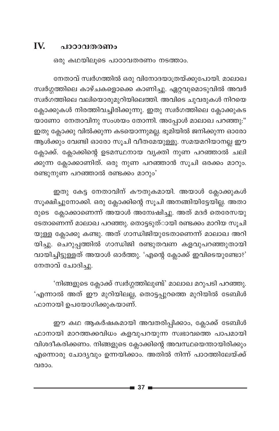### IV. പാഠാവതരണം

ഒരു കഥയിലൂടെ പാഠാവതരണം നടത്താം.

നേതാവ് സ്വർഗത്തിൽ ഒരു വിനോദയാത്രയ്ക്കുപോയി. മാലാഖ സ്വർഗ്ഗത്തിലെ കാഴ്ചകളൊക്കെ കാണിച്ചു. ഏറ്റവുമൊടുവിൽ അവർ സ്വർഗത്തിലെ വലിയൊരുമുറിയിലെത്തി. അവിടെ ചുവരുകൾ നിറയെ ക്ലോക്കുകൾ നിരത്തിവച്ചിരിക്കുന്നു. ഇതു സ്വർഗത്തിലെ ക്ലോക്കുകട യാണോ നേതാവിനു സംശയം തോന്നി. അപ്പോൾ മാലാഖ പറഞ്ഞു:" ഇതു ക്ലോക്കു വിൽക്കുന്ന കടയൊന്നുമല്ല. ഭൂമിയിൽ ജനിക്കുന്ന ഓരോ ആൾക്കും വേണ്ടി ഓരോ സൂചി വീതമേയുള്ളൂ. സമയമറിയാനല്ല ഈ ക്ലോക്ക്. ക്ലോക്കിന്റെ ഉടമസ്ഥനായ വ്യക്തി നുണ പറഞ്ഞാൽ ചലി ക്കുന്ന ക്ലോക്കാണിത്. ഒരു നുണ പറഞ്ഞാൻ സൂചി ഒരക്കം മാറും. രണ്ടുനുണ പറഞ്ഞാൽ രണ്ടക്കം മാറും'

ഇതു കേട്ട നേതാവിന് കൗതുകമായി. അയാൾ ക്ലോക്കുകൾ സൂക്ഷിച്ചുനോക്കി. ഒരു ക്ലോക്കിന്റെ സൂചി അനങ്ങിയിട്ടേയില്ല. അതാ രുടെ ക്ലോക്കാണെന്ന് അയാൾ അന്വേഷിച്ചു. അത് മദർ തെരേസയു ടേതാണെന്ന് മാലാഖ പറഞ്ഞു. തൊട്ടടുത്ായി രണ്ടക്കം മാറിയ സൂചി യുള്ള ക്ലോക്കു കണ്ടു. അത് ഗാന്ധിജിയുടേതാണെന്ന് മാലാഖ അറി യിച്ചു. ചെറുപ്പത്തിൽ ഗാന്ധിജി രണ്ടുതവണ കളവുപറഞ്ഞുതായി വായിച്ചിട്ടുള്ളത് അയാൾ ഓർത്തു. 'എന്റെ ക്ലോക്ക് ഇവിടെയുണ്ടോ?' നേതാവ് ചോദിച്ചു.

'നിങ്ങളുടെ ക്ലോക്ക് സ്വർഗ്ഗത്തിലുണ്ട്' മാലാഖ മറുപടി പറഞ്ഞു. 'എന്നാൽ അത് ഈ മുറിയിലല്ല, തൊട്ടപ്പുറത്തെ മുറിയിൽ ടേബിൾ ഫാനായി ഉപയോഗിക്കുകയാണ്.

ഈ കഥ ആകർഷകമായി അവതരിപ്പിക്കാം, ക്ലോക്ക് ടേബിൾ ഫാനായി മാറത്തക്കവിധം കളവുപറയുന്ന സ്വഭാവത്തെ പാപമായി വിശദീകരിക്കണം. നിങ്ങളുടെ ക്ലോക്കിന്റെ അവസ്ഥയെന്തായിരിക്കും എന്നൊരു ചോദ്യവും ഉന്നയിക്കാം. അതിൽ നിന്ന് പാഠത്തിലേയ്ക്ക് വരാം.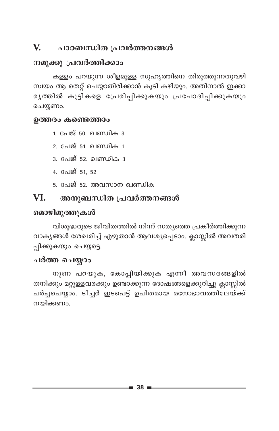#### $\mathbf{V}$ പാഠബന്ധിത പ്രവർത്തനങ്ങൾ

### നമുക്കു പ്രവർത്തിക്കാം

കള്ളം പറയുന്ന ശീളമുള്ള സുഹൃത്തിനെ തിരുത്തുന്നതുവഴി സ്വയം ആ തെറ്റ് ചെയ്യാതിരിക്കാൻ കൂടി കഴിയും. അതിനാൽ ഇക്കാ രൃത്തിൽ കുട്ടികളെ പ്രേരിപ്പിക്കുകയും പ്രചോദിപ്പിക്കുകയും ചെയ്യണം.

### ഉത്തരം കണ്ടെത്താം

1. പേജ് 50. ഖണ്ഡിക 3

- 2. പേജ് 51. ഖണ്ഡിക 1
- <u>3. പേജ് 52. ഖണ്ഡിക 3</u>
- 4. പേജ് 51, 52
- 5. പേജ് 52. അവസാന ഖണ്ഡിക

#### VI. അനുബന്ധിത പ്രവർത്തനങ്ങൾ

### മൊഴിമുത്തുകൾ

വിശുദ്ധരുടെ ജീവിതത്തിൽ നിന്ന് സത്യത്തെ പ്രകീർത്തിക്കുന്ന വാക്യങ്ങൾ ശേഖരിച്ച് എഴുതാൻ ആവശ്യപ്പെടാം. ക്ലാസ്സിൽ അവതരി പ്പിക്കുകയും ചെയ്യട്ടെ.

### ചർത്ത ചെയ്യാം

നുണ പറയുക, കോപ്പിയിക്കുക എന്നീ അവസരങ്ങളിൽ തനിക്കും മറ്റുള്ളവരക്കും ഉണ്ടാക്കുന്ന ദോഷങ്ങളെക്കുറിച്ചു ക്ലാസ്സിൽ ചർച്ചചെയ്യാം. ടീച്ചർ ഇടപെട്ട് ഉചിതമായ മനോഭാവത്തിലേയ്ക്ക് നയിക്കണം.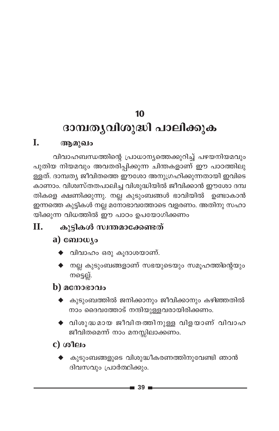## 10

# ദാമ്പതൃവിശുദ്ധി പാലിക്കുക

### I. ആമുഖം

വിവാഹബന്ധത്തിന്റെ പ്രാധാന്യത്തെക്കുറിച്ച് പഴയനിയമവും പുതിയ നിയമവും അവതരിപ്പിക്കുന്ന ചിന്തകളാണ് ഈ പാഠത്തിലു ള്ളത്. ദാമ്പത്യ ജീവിതത്തെ ഈശോ അനുഗ്രഹിക്കുന്നതായി ഇവിടെ കാണാം. വിശ്വസ്തതപാലിച്ച വിശുദ്ധിയിൽ ജീവിക്കാൻ ഈശോ ദമ്പ തികളെ ക്ഷണിക്കുന്നു. നല്ല കുടുംബങ്ങൾ ഭാവിയിൽ ഉണ്ടാകാൻ ഇന്നത്തെ കുട്ടികൾ നല്ല മനോഭാവത്തോടെ വളരണം. അതിനു സഹാ യിക്കുന്ന വിധത്തിൽ ഈ പാഠം ഉപയോഗിക്കണം

### П. കുട്ടികൾ സ്വന്തമാക്കേണ്ടത്

## a)  $\omega_{\text{10}}$

- $\blacklozenge$  വിവാഹം ഒരു കൂദാശയാണ്.
- $\blacklozenge$  നല്ല കുടുംബങ്ങളാണ് സഭയുടെയും സമൂഹത്തിന്റെയും നട്ടെല്ല്.

## **)**  $\alpha$  **cm**  $\alpha$  **as**  $\alpha$

- $\blacklozenge$  കുടുംബത്തിൽ ജനിക്കാനും ജീവിക്കാനും കഴിഞ്ഞതിൽ നാം ദൈവത്തോട് നന്ദിയുള്ളവരായിരിക്കണം.
- $\blacklozenge$  വിശുദ്ധമായ ജീവിതത്തിനുള്ള വിളയാണ് വിവാഹ ജീവിതമെന്ന് നാം മനസ്സിലാക്കണം.

## $c)$  ശീലം

കുടുംബങ്ങളുടെ വിശുദ്ധീകരണത്തിനുവേണ്ടി ഞാൻ ദിവസവും പ്രാർത്ഥിക്കും.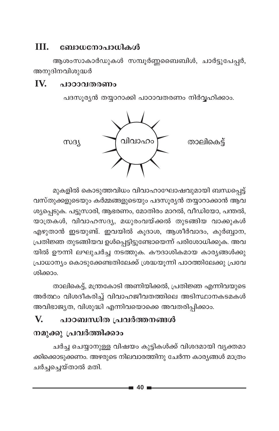### III. ബോധനോപാധികൾ

ആശംസാകാർഡുകൾ സമ്പൂർണ്ണബൈബിൾ, ചാർട്ടുപേപ്പർ, അനുദിനവിശുദ്ധർ

#### IV. പാഠാവതരണം

പദസൂര്യൻ തയ്യാറാക്കി പാഠാവതരണം നിർവ്വഹിക്കാം.



മുകളിൽ കൊടുത്തവിധം വിവാഹാഘോഷവുമായി ബന്ധപ്പെട്ട് വസ്തുക്കളുടെയും കർമ്മങ്ങളുടെയും പദസൂര്യൻ തയ്യാറാക്കാൻ ആവ ശ്യപ്പെടുക. പട്ടുസാരി, ആഭരണം, മോതിരം മാറൽ, വീഡിയോ, പന്തൽ, യാത്രകൾ, വിവാഹസദ്യ, മധുരംവയ്ക്കൽ തുടങ്ങിയ വാക്കുകൾ എഴുതാൻ ഇടയുണ്ട്. ഇവയിൽ കൂദാശ, ആശീർവാദം, കുർബ്ബാന, പ്രതിജ്ഞ തുടങ്ങിയവ ഉൾപ്പെട്ടിട്ടുണ്ടോയെന്ന് പരിശോധിക്കുക. അവ യിൽ ഊന്നി ലഘുചർച്ച നടത്തുക. കൗദാശികമായ കാര്യങ്ങൾക്കു പ്രാധാന്യം കൊടുക്കേണ്ടതിലേക്ക് ശ്രദ്ധയൂന്നി പാഠത്തിലേക്കു പ്രവേ ശിക്കാം.

താലികെട്ട്, മന്ത്രകോടി അണിയിക്കൽ, പ്രതിജ്ഞ എന്നിവയുടെ അർത്ഥം വിശദീകരിച്ച് വിവാഹജീവതത്തിലെ അടിസ്ഥാനകടമകൾ അവിഭാജ്യത, വിശുദ്ധി എന്നിവയൊക്കെ അവതരിപ്പിക്കാം.

### പാഠബന്ധിത പ്രവർത്തനങ്ങൾ V.

## നമുക്കു പ്രവർത്തിക്കാം

ചർച്ച ചെയ്യാനുള്ള വിഷയം കുട്ടികൾക്ക് വിശദമായി വൃക്തമാ ക്കിക്കൊടുക്കണം. അഴരുടെ നിലവാരത്തിനു ചേർന്ന കാര്യങ്ങൾ മാത്രം ചർച്ചച്ചെയ്താൽ മതി.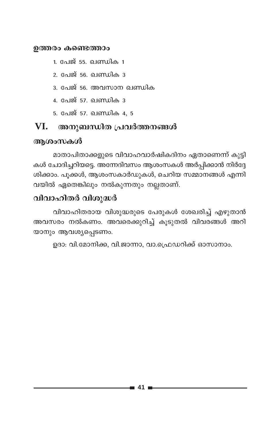### ഉത്തരം കണ്ടെത്താം

- 1. പേജ് 55. ഖണ്ഡിക 1
- 2. പേജ് 56. ഖണ്ഡിക<sup>3</sup>
- 3. പേജ് 56. അവസാന ഖണ്ഡിക
- 4. പേജ് 57. ഖണ്ഡിക 3
- 5. പേജ് 57. ഖണ്ഡിക 4, 5

#### VI. അനുബന്ധിത പ്രവർത്തനങ്ങൾ

### ആശംസകൾ

മാതാപിതാക്കളുടെ വിവാഹവാർഷികദിനം ഏതാണെന്ന് കുട്ടി കൾ ചോദിച്ചറിയട്ടെ. അന്നേദിവസം ആശംസകൾ അർപ്പിക്കാൻ നിർദ്ദേ ശിക്കാം. പൂക്കൾ, ആശംസകാർഡുകൾ, ചെറിയ സമ്മാനങ്ങൾ എന്നി വയിൽ ഏതെങ്കിലും നൽകുന്നതും നല്ലതാണ്.

### വിവാഹിതർ വിശുദ്ധർ

വിവാഹിതരായ വിശുദ്ധരുടെ പേരുകൾ ശേഖരിച്ച് എഴുതാൻ അവസരം നൽകണം. അവരെക്കുറിച്ച് കൂടുതൽ വിവരങ്ങൾ അറി യാനും ആവശ്യപ്പെടണം.

ഉദാ: വി.മോനിക്ക, വി.ജാന്നാ, വാ.പ്രെഡറിക്ക് ഓസാനാം.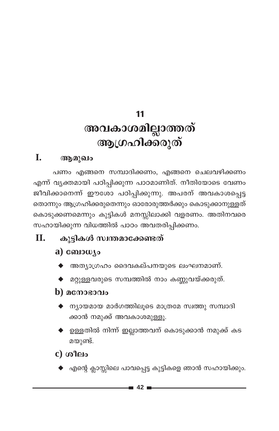# 11 അവകാശമില്ലാത്തത് ആഗ്രഹിക്കരുത്

### L. ആമുഖം

പണം എങ്ങനെ സമ്പാദിക്കണം, എങ്ങനെ ചെലവഴിക്കണം എന്ന് വ്യക്തമായി പഠിപ്പിക്കുന്ന പാഠമാണിത്. നീതിയോടെ വേണം ജീവിക്കാനെന്ന് ഈശോ പഠിപ്പിക്കുന്നു. അപരന് അവകാശപ്പെട്ട തൊന്നും ആഗ്രഹിക്കരുതെന്നും ഓരോരുത്തർക്കും കൊടുക്കാനുള്ളത് കൊടുക്കണമെന്നും കുട്ടികൾ മനസ്സിലാക്കി വളരണം. അതിനവരെ സഹായിക്കുന്ന വിധത്തിൽ പാഠം അവതരിപ്പിക്കണം.

### **II.** കൂട്ടികൾ സ്വന്തമാക്കേണ്ടത്

## a) ബോധ്യം

- അത്യാഗ്രഹം ദൈവകല്പനയുടെ ലംഘനമാണ്.
- മറ്റുള്ളവരുടെ സമ്പത്തിൽ നാം കണ്ണുവയ്ക്കരുത്.

## $\bf{b}$ ) മനോഭാവം

- $\blacklozenge$  ന്യായമായ മാർഗത്തിലൂടെ മാത്രമേ സ്വത്തു സമ്പാദി ക്കാൻ നമുക്ക് അവകാശമുള്ളൂ.
- ഉള്ളതിൽ നിന്ന് ഇല്ലാത്തവന് കൊടുക്കാൻ നമുക്ക് കട മയുണ്ട്.
- $c)$  ശീലം
	- $\blacklozenge$  എന്റെ ക്ലാസ്സിലെ പാവപ്പെട്ട കുട്ടികളെ ഞാൻ സഹായിക്കും.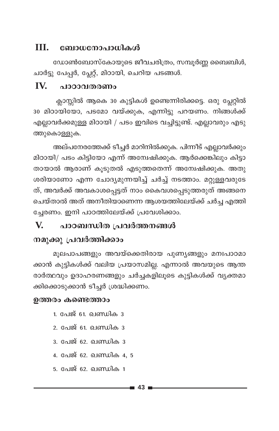#### TIT. ബോധനോപാധികൾ

ഡോൺബോസ്കോയുടെ ജീവചരിത്രം, സമ്പൂർണ്ണ ബൈബിൾ, ചാർട്ടു പേപ്പർ, പ്ലേറ്റ്, മിഠായി, ചെറിയ പടങ്ങൾ.

#### IV. പാഠാവതരണം

ക്ലാസ്സിൽ ആകെ 30 കുട്ടികൾ ഉണ്ടെന്നിരിക്കട്ടെ. ഒരു പ്ലേറ്റിൽ 30 മിഠായിയോ, പടമോ വയ്ക്കുക, എന്നിട്ടു പറയണം. നിങ്ങൾക്ക് എല്ലാവർക്കമുള്ള മിഠായി / പടം ഇവിടെ വച്ചിട്ടുണ്ട്. എല്ലാവരും എടു ത്തുകൊള്ളുക.

അല്പനേരത്തേക്ക് ടീച്ചർ മാറിനിൽക്കുക. പിന്നീട് എല്ലാവർക്കും മിഠായി/ പടം കിട്ടിയോ എന്ന് അന്വേഷിക്കുക. ആർക്കെങ്കിലും കിട്ടാ തായാൽ ആരാണ് കൂടുതൽ എടുത്തതെന്ന് അന്വേഷിക്കുക. അതു ശരിയാണോ എന്ന ചോദ്യമുന്നയിച്ച് ചർച്ച് നടത്താം. മറ്റുള്ളവരുടേ ത്, അവർക്ക് അവകാശപ്പെട്ടത് നാം കൈവശപ്പെടുത്തരുത് അങ്ങനെ ചെയ്താൽ അത് അനീതിയാണെന്ന ആശയത്തിലേയ്ക്ക് ചർച്ച എത്തി ചേരണം. ഇനി പാഠത്തിലേയ്ക്ക് പ്രവേശിക്കാം.

#### V. പാഠബന്ധിത പ്രവർത്തനങ്ങൾ

## നമുക്കു പ്രവർത്തിക്കാം

മൂലപാപങ്ങളും അവയ്ക്കെതിരായ പുണ്യങ്ങളും മനഃപാഠമാ ക്കാൻ കുട്ടികൾക്ക് വലിയ പ്രയാസമില്ല. എന്നാൽ അവയുടെ ആന്ത രാർത്ഥവും ഉദാഹരണങ്ങളും ചർച്ചകളിലൂടെ കുട്ടികൾക്ക് വ്യക്തമാ ക്കിക്കൊടുക്കാൻ ടീച്ചർ ശ്രദ്ധിക്കണം.

### ഉത്തരം കണ്ടെത്താം

- 1. പേജ് 61. ഖണ്ഡിക 3
- 2. പേജ് 61. ഖണ്ഡിക 3
- <u>3. പേജ് 62. ഖണ്ഡിക 3</u>
- 4. പേജ് 62. ഖണ്ഡിക 4. 5
- 5. പേജ് 62. ഖണ്ഡിക 1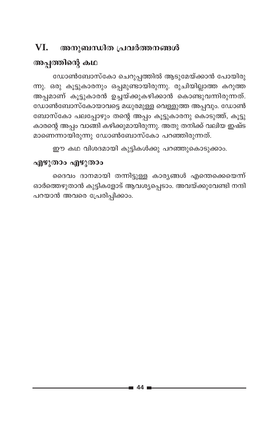### VI. അനുബന്ധിത പ്രവർത്തനങ്ങൾ

## അപ്പത്തിന്റെ കഥ

ഡോൺബോസ്കോ ചെറുപ്പത്തിൽ ആടുമേയ്ക്കാൻ പോയിരു ന്നു. ഒരു കൂട്ടുകാരനും ഒപ്പമുണ്ടായിരുന്നു. രുചിയില്ലാത്ത കറുത്ത അപ്പമാണ് കൂട്ടുകാരൻ ഉച്ചയ്ക്കുകഴിക്കാൻ കൊണ്ടുവന്നിരുന്നത്. ഡോൺബോസ്കോയാവട്ടെ മധുരമുള്ള വെള്ളുത്ത അപ്പവും. ഡോൺ ബോസ്കോ പലപ്പോഴും തന്റെ അപ്പം കൂട്ടുകാരനു കൊടുത്ത്, കൂട്ടു കാരന്റെ അപ്പം വാങ്ങി കഴിക്കുമായിരുന്നു. അതു തനിക്ക് വലിയ ഇഷ്ട മാണെന്നായിരുന്നു ഡോൺബോസ്കോ പറഞ്ഞിരുന്നത്.

ഈ കഥ വിശദമായി കുട്ടികൾക്കു പറഞ്ഞുകൊടുക്കാം.

### എഴുതാം എഴുതാം

ദൈവം ദാനമായി തന്നിട്ടുള്ള കാര്യങ്ങൾ എന്തെക്കെയെന്ന് ഓർത്തെഴുതാൻ കുട്ടികളോട് ആവശ്യപ്പെടാം. അവയ്ക്കുവേണ്ടി നന്ദി പറയാൻ അവരെ പ്രേരിപ്പിക്കാം.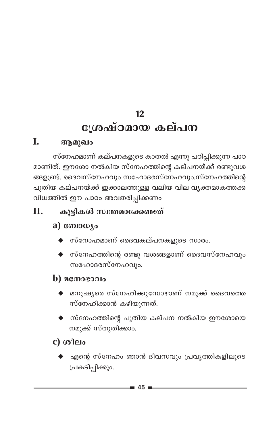## $12$ ശ്രേഷ്ഠമായ കല്പന

### I. ആമുഖം

സ്നേഹമാണ് കല്പനകളുടെ കാതൽ എന്നു പഠിപ്പിക്കുന്ന പാഠ മാണിത്. ഈശോ നൽകിയ സ്നേഹത്തിന്റെ കല്പനയ്ക്ക് രണ്ടുവശ ങ്ങളുണ്ട്. ദൈവസ്നേഹവും സഹോദരസ്നേഹവും.സ്നേഹത്തിന്റെ പുതിയ കല്പനയ്ക്ക് ഇക്കാലത്തുള്ള വലിയ വില വൃക്തമാകത്തക്ക വിധത്തിൽ ഈ പാഠം അവതരിപ്പിക്കണം

### Π. കുട്ടികൾ സ്വന്തമാക്കേണ്ടത്

## a) ബോധ്യം

- $\blacklozenge$  സ്നോഹമാണ് ദൈവകല്പനകളുടെ സാരം.
- $\blacklozenge$  സ്നേഹത്തിന്റെ രണ്ടു വശങ്ങളാണ് ദൈവസ്നേഹവും സഹോദരസ്നേഹവും.

## $\bf{b}$ ) മനോഭാവം

- $\blacklozenge$  മനുഷ്യരെ സ്നേഹിക്കുമ്പോഴാണ് നമുക്ക് ദൈവത്തെ സ്നേഹിക്കാൻ കഴിയുന്നത്.
- സ്നേഹത്തിന്റെ പുതിയ കല്പന നൽകിയ ഈശോയെ നമുക്ക് സ്തുതിക്കാം.

## $c)$  ശീലം

എന്റെ സ്നേഹം ഞാൻ ദിവസവും പ്രവൃത്തികളിലൂടെ പ്രകടിപ്പിക്കും.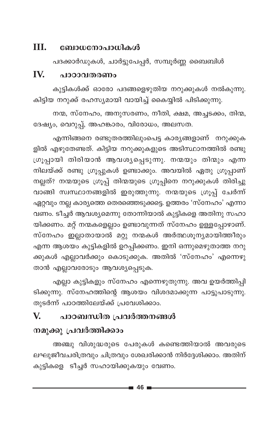### Ш. ബോധനോപാധികൾ

പദക്കാർഡുകൾ, ചാർട്ടുപേപ്പർ, സമ്പൂർണ്ണ ബൈബിൾ

### IV. പാഠാവതരണം

കുട്ടികൾക്ക് ഓരോ പദങ്ങളെഴുതിയ നറുക്കുകൾ നൽകുന്നു. കിട്ടിയ നറുക്ക് രഹസ്യമായി വായിച്ച് കൈയ്യിൽ പിടിക്കുന്നു.

നന്മ, സ്നേഹം, അനുസരണം, നീതി, ക്ഷമ, അച്ചടക്കം, തിന്മ, ദേഷ്യം, വെറുപ്പ്, അഹങ്കാരം, വിരോധം, അലസത.

എന്നിങ്ങനെ രണ്ടുതരത്തിലുംപെട്ട കാര്യങ്ങളാണ് നറുക്കുക ളിൽ എഴുതേണ്ടത്. കിട്ടിയ നറുക്കുകളുടെ അടിസ്ഥാനത്തിൽ രണ്ടു ഗ്രൂപ്പായി തിരിയാൻ ആവശ്യപ്പെടുന്നു. നന്മയും തിന്മും എന്ന നിലയ്ക്ക് രണ്ടു ഗ്രൂപ്പുകൾ ഉണ്ടാക്കും. അവയിൽ ഏതു ഗ്രൂപ്പാണ് നല്ലത്? നന്മയുടെ ഗ്രൂപ്പ് തിന്മയുടെ ഗ്രൂപ്പിനെ നറുക്കുകൾ തിരിച്ചു വാങ്ങി സ്വസ്ഥാനങ്ങളിൽ ഇരുത്തുന്നു. നന്മയുടെ ഗ്രൂപ്പ് ചേർന്ന് ഏറ്റവും നല്ല കാര്യത്തെ തെരഞ്ഞെടുക്കട്ടെ. ഉത്തരം 'സ്നേഹം' എന്നാ വണം. ടീച്ചർ ആവശ്യമെന്നു തോന്നിയാൽ കുട്ടികളെ അതിനു സഹാ യിക്കണം. മറ്റ് നന്മകളെല്ലാം ഉണ്ടാവുന്നത് സ്നേഹം ഉള്ളപ്പോഴാണ്. സ്നേഹം ഇല്ലാതായാൽ മറ്റു നന്മകൾ അർത്ഥശൂന്യമായിത്തീരും എന്ന ആശയം കുട്ടികളിൽ ഉറപ്പിക്കണം. ഇനി ഒന്നുമെഴുതാത്ത നറു ക്കുകൾ എല്ലാവർക്കും കൊടുക്കുക. അതിൽ 'സ്നേഹം' എന്നെഴു താൻ എല്ലാവരോടും ആവശ്യപ്പെടുക.

എല്ലാ കുട്ടികളും സ്നേഹം എന്നെഴുതുന്നു. അവ ഉയർത്തിപ്പി ടിക്കുന്നു. സ്നേഹത്തിന്റെ ആശയം വിശദമാക്കുന്ന പാട്ടുപാടുന്നു. തുടർന്ന് പാഠത്തിലേയ്ക്ക് പ്രവേശിക്കാം.

### V. പാഠബന്ധിത പ്രവർത്തനങ്ങൾ

## നമുക്കു പ്രവർത്തിക്കാം

അഞ്ചു വിശുദ്ധരുടെ പേരുകൾ കണ്ടെത്തിയാൽ അവരുടെ ലഘുജീവചരിത്രവും ചിത്രവും ശേഖരിക്കാൻ നിർദ്ദേശിക്കാം. അതിന് കുട്ടികളെ ടീച്ചർ സഹായിക്കുകയും വേണം.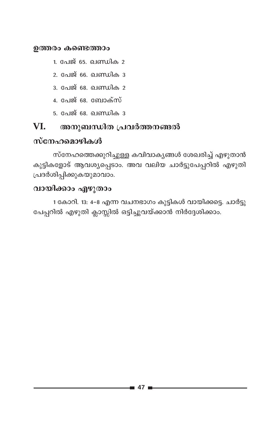### ഉത്തരം കണ്ടെത്താം

- 1. പേജ് 65. ഖണ്ഡിക 2
- 2. പേജ് 66. ഖണ്ഡിക 3
- 3. പേജ് 68. ഖണ്ഡിക 2
- 4. പേജ് 68. ബോക്സ്
- <u>5. പേജ് 68. ഖണ്ഡിക 3</u>

### VI. അനുബന്ധിത പ്രവർത്തനങ്ങൽ

### സ്നേഹമൊഴികൾ

സ്നേഹത്തെക്കുറിച്ചുള്ള കവിവാകൃങ്ങൾ ശേഖരിച്ച് എഴുതാൻ കുട്ടികളോട് ആവശ്യപ്പെടാം. അവ വലിയ ചാർട്ടുപേപ്പറിൽ എഴുതി പ്രദർശിപ്പിക്കുകയുമാവാം.

## വായിക്കാം എഴുതാം

1 കോറി. 13: 4-8 എന്ന വചനഭാഗം കുട്ടികൾ വായിക്കട്ടെ. ചാർട്ടു പേപ്പറിൽ എഴുതി ക്ലാസ്സിൽ ഒട്ടിച്ചുവയ്ക്കാൻ നിർദ്ദേശിക്കാം.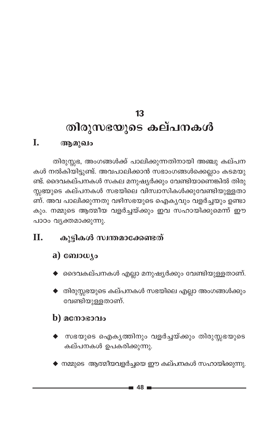### 13 തിരുസഭയുടെ കല്പനകൾ I. ആമുഖം

തിരുസ്സഭ, അംഗങ്ങൾക്ക് പാലിക്കുന്നതിനായി അഞ്ചു കല്പന കൾ നൽകിയിട്ടുണ്ട്. അവപാലിക്കാൻ സഭാംഗങ്ങൾക്കെല്ലാം കടമയു ണ്ട്. ദൈവകല്പനകൾ സകല മനുഷ്യർക്കും വേണ്ടിയാണെങ്കിൽ തിരു സ്സഭയുടെ കല്പനകൾ സഭയിലെ വിസ്ഥസികൾക്കുവേണ്ടിയുള്ളതാ ണ്. അവ പാലിക്കുന്നതു വഴിസഭയുടെ ഐകൃവും വളർച്ചയും ഉണ്ടാ കും. നമ്മുടെ ആത്മീയ വളർച്ചയ്ക്കും ഇവ സഹായിക്കുമെന്ന് ഈ പാഠം വൃക്തമാക്കുന്നു.

### കൂട്ടികൾ സ്വന്തമാക്കേണ്ടത് **II.**

### a) ബോധ്യം

- $\blacklozenge$  ദൈവകല്പനകൾ എല്ലാ മനുഷ്യർക്കും വേണ്ടിയുള്ളതാണ്.
- $\blacklozenge$  തിരുസ്സഭയുടെ കല്പനകൾ സഭയിലെ എല്ലാ അംഗങ്ങൾക്കും വേണ്ടിയുള്ളതാണ്.

## $\bf{b}$ )  $\bf{a}$  conservation

- സഭയുടെ ഐക്യത്തിനും വളർച്ചയ്ക്കും തിരുസ്സഭയുടെ കല്പനകൾ ഉപകരിക്കുന്നു.
- $\blacklozenge$  നമ്മുടെ ആത്മീയവളർച്ചയെ ഈ കല്പനകൾ സഹായിക്കുന്നു.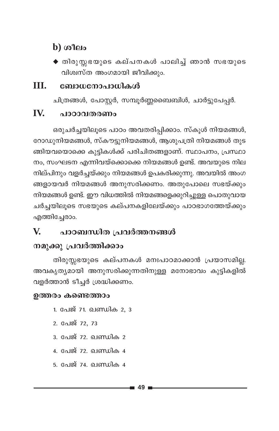## $h$ ) ( $a$  $n$  $p$

 $\blacklozenge$  തിരുസ്സഭയുടെ കല്പനകൾ പാലിച്ച് ഞാൻ സഭയുടെ വിശ്വസ്ത അംഗമായി ജീവിക്കും.

#### III. ബോധനോപാധികൾ

ചിത്രങ്ങൾ, പോസ്റ്റർ, സമ്പൂർണ്ണബൈബിൾ, ചാർട്ടുപേപ്പർ.

#### IV. പാഠാവതരണം

ഒരുചർച്ചയിലൂടെ പാഠം അവതരിപ്പിക്കാം. സ്കൂൾ നിയമങ്ങൾ, റോഡുനിയമങ്ങൾ, സ്കൗട്ടുനിയമങ്ങൾ, ആശുപത്രി നിയമങ്ങൾ തുട ങ്ങിയവയൊക്കെ കുട്ടികൾക്ക് പരിചിതങ്ങളാണ്. സ്ഥാപനം, പ്രസ്ഥാ നം, സംഘടന എന്നിവയ്ക്കൊക്കെ നിയമങ്ങൾ ഉണ്ട്. അവയുടെ നില നില്പിനും വളർച്ചയ്ക്കും നിയമങ്ങൾ ഉപകരിക്കുന്നു. അവയിൽ അംഗ ങ്ങളായവർ നിയമങ്ങൾ അനുസരിക്കണം. അതുപോലെ സഭയ്ക്കും നിയമങ്ങൾ ഉണ്ട്. ഈ വിധത്തിൽ നിയമങ്ങളെക്കുറിച്ചുള്ള പൊതുവായ ചർച്ചയിലൂടെ സഭയുടെ കല്പനകളിലേയ്ക്കും പാഠഭാഗത്തേയ്ക്കും എത്തിച്ചേരാം.

### $\mathbf{V}$ പാഠബന്ധിത പ്രവർത്തനങ്ങൾ

## നമുക്കു പ്രവർത്തിക്കാം

തിരുസ്സഭയുടെ കല്പനകൾ മനഃപാഠമാക്കാൻ പ്രയാസമില്ല. അവകൃത്യമായി അനുസരിക്കുന്നതിനുള്ള മനോഭാവം കുട്ടികളിൽ വളർത്താൻ ടീച്ചർ ശ്രദ്ധിക്കണം.

### ഉത്തരം കണ്ടെത്താം

- 1. പേജ് 71. ഖണ്ഡിക 2, 3
- 2. പേജ് 72, 73
- <u>3. പേജ് 72. ഖണ്ഡിക 2</u>
- 4. പേജ് 72. ഖണ്ഡിക 4
- 5. പേജ് 74. ഖണ്ഡിക 4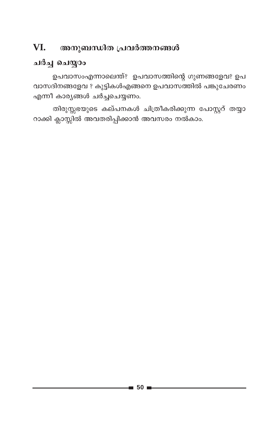### VI. അനുബന്ധിത പ്രവർത്തനങ്ങൾ

## ചർച്ച ചെയ്യാം

ഉപവാസംഎന്നാലെന്ത്? ഉപവാസത്തിന്റെ ഗുണങ്ങളേവ? ഉപ വാസദിനങ്ങളേവ ? കുട്ടികൾഎങ്ങനെ ഉപവാസത്തിൽ പങ്കുചേരണം എന്നീ കാര്യങ്ങൾ ചർച്ചചെയ്യണം.

തിരുസ്സഭയുടെ കല്പനകൾ ചിത്രീകരിക്കുന്ന പോസ്റ്ററ് തയ്യാ റാക്കി ക്ലാസ്സിൽ അവതരിപ്പിക്കാൻ അവസരം നൽകാം.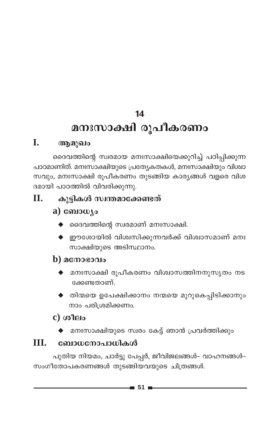## 14

# മനഃസാക്ഷി രൂപീകരണം

### I. ആമുഖം

ദൈവത്തിന്റെ സ്വരമായ മനഃസാക്ഷിയെക്കുറിച്ച് പഠിപ്പിക്കുന്ന പാഠമാണിത്. മനഃസാക്ഷിയുടെ പ്രത്യേകതകൾ, മനഃസാക്ഷിയും വിശ്വാ സവും, മനഃസാക്ഷി രൂപീകരണം തുടങ്ങിയ കാര്യങ്ങൾ വളരെ വിശ ദമായി പാഠത്തിൽ വിവരിക്കുന്നു.

### **II.** കൂട്ടികൾ സ്വന്തമാക്കേണ്ടത്

## a)  $\omega_{\text{10}}$

- $\blacklozenge$  ദൈവത്തിന്റെ സ്വരമാണ് മനഃസാക്ഷി.
- $\blacklozenge$  ഈശോയിൽ വിശ്വസിക്കുന്നവർക്ക് വിശ്വാസമാണ് മനഃ സാക്ഷിയുടെ അടിസ്ഥാനം.

## $\bf{b}$ ) മനോഭാവം

- മനഃസാക്ഷി രുപീകരണം വിശ്വാസത്തിനനുസൃതം നട ക്കേണ്ടതാണ്.
- ◆ തിന്മയെ ഉപേക്ഷിക്കാനം നന്മയെ മുറുകെപ്പിടിക്കാനും നാം പരിശ്രമിക്കണം.

## $c)$  ശീലം

മനഃസാക്ഷിയുടെ സ്വരം കേട്ട് ഞാൻ പ്രവർത്തിക്കും

### III. ബോധനോപാധികൾ

പുതിയ നിയമം, ചാർട്ടു പേപ്പർ, ജീവിജലങ്ങൾ- വാഹനങ്ങൾ-സംഗീതോപകരണങ്ങൾ തുടങ്ങിയവയുടെ ചിത്രങ്ങൾ.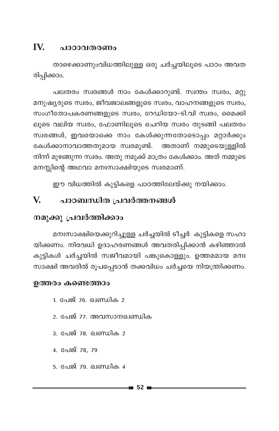#### IV. ചാറാവതരണം

താഴെക്കാണുംവിധത്തിലുള്ള ഒരു ചർച്ചയിലൂടെ പാഠം അവത രിപ്പിക്കാം.

പലതരം സ്വരങ്ങൾ നാം കേൾക്കാറുണ്ട്. സ്വന്തം സ്വരം, മറ്റു മനുഷ്യരുടെ സ്വരം, ജീവജാലങ്ങളുടെ സ്വരം, വാഹനങ്ങളുടെ സ്വരം, സംഗീതോപകരണങ്ങളുടെ സ്വരം, റേഡിയോ-ടി.വി സ്വരം, മൈക്കി ലൂടെ വലിയ സ്വരം, ഫോണിലൂടെ ചെറിയ സ്വരം തുടങ്ങി പലതരം സ്വരങ്ങൾ, ഇവയൊക്കെ നാം കേൾക്കുന്നതോടൊപ്പം മറ്റാർക്കും കേൾക്കാനാവാത്തതുമായ സ്വരമുണ്ട്. അതാണ് നമ്മുടെയുള്ളിൽ നിന്ന് മുഴങ്ങുന്ന സ്വരം. അതു നമുക്ക് മാത്രം കേൾക്കാം. അത് നമ്മുടെ മനസ്സിന്റെ അഥവാ മനഃസാക്ഷിയുടെ സ്വരമാണ്.

ഈ വിധത്തിൽ കുട്ടികളെ പാഠത്തിലേയ്ക്കു നയിക്കാം.

#### V. പാഠബന്ധിത പ്രവർത്തനങ്ങൾ

### നമുക്കു പ്രവർത്തിക്കാം

മനഃസാക്ഷിയെക്കുറിച്ചുള്ള ചർച്ചയിൽ ടീച്ചർ കുട്ടികളെ സഹാ യിക്കണം. നിരവധി ഉദാഹരണങ്ങൾ അവതരിപ്പിക്കാൻ കഴിഞ്ഞാൽ കുട്ടികൾ ചർച്ചയിൽ സജീവമായി പങ്കുകൊള്ളും. ഉത്തമമായ മനഃ സാക്ഷി അവരിൽ രുപപ്പെടാൻ തക്കവിധം ചർച്ചയെ നിയന്ത്രിക്കണം.

### ഉത്തരം കണ്ടെത്താം

- 1. പേജ് 76. ഖണ്ഡിക 2
- 2. പേജ് 77. അവസാനഖണ്ഡിക
- 3. പേജ് 78. ഖണ്ഡിക 2
- 4. പേജ് 78, 79
- <u>5. പേജ് 79. ഖണ്ഡിക 4</u>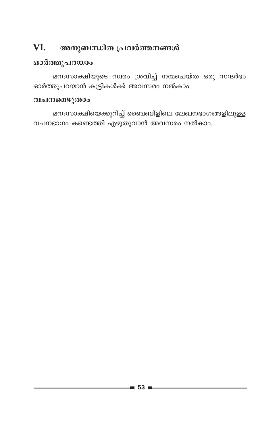### VI. അനുബന്ധിത പ്രവർത്തനങ്ങൾ

### ഓർത്തുപറയാം

മനഃസാക്ഷിയുടെ സ്വരം ശ്രവിച്ച് നന്മചെയ്ത ഒരു സന്ദർഭം ഓർത്തുപറയാൻ കുട്ടികൾക്ക് അവസരം നൽകാം.

### വചനമെഴുതാം

മനഃസാക്ഷിയെക്കുറിച്ച് ബൈബിളിലെ ലേഖനഭാഗങ്ങളിലുള്ള വചനഭാഗം കണ്ടെത്തി എഴുതുവാൻ അവസരം നൽകാം.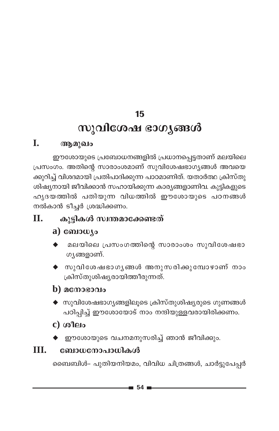## 15

# സുവിശേഷ ഭാഗ്യങ്ങൾ

### L. ആമുഖം

ഈശോയുടെ പ്രബോധനങ്ങളിൽ പ്രധാനപ്പെട്ടതാണ് മലയിലെ പ്രസംഗം. അതിന്റെ സാരാംശമാണ് സുവിശേഷഭാഗ്യങ്ങൾ അവയെ ക്കുറിച്ച് വിശദമായി പ്രതിപാദിക്കുന്ന പാഠമാണിത്. യതാർത്ഥ ക്രിസ്തു ശിഷ്യനായി ജീവിക്കാൻ സഹായിക്കുന്ന കാര്യങ്ങളാണിവ. കുട്ടികളുടെ ഹൃദയത്തിൽ പതിയുന്ന വിധത്തിൽ ഈശോയുടെ പഠനങ്ങൾ നൽകാൻ ടീച്ചർ ശ്രദ്ധിക്കണം.

### $\Pi$ . കുട്ടികൾ സ്വന്തമാക്കേണ്ടത്

### a) ബോധ്യം

- മലയിലെ പ്രസംഗത്തിന്റെ സാരാംശം സുവിശേഷഭാ ഗൃങ്ങളാണ്.
- $\blacklozenge$  സുവിശേഷഭാഗൃങ്ങൾ അനുസരിക്കുമ്പോഴാണ് നാം ക്രിസ്തുശിഷ്യരായിത്തീരുന്നത്.

### $\bf{b)}$  acmosono

 $\blacklozenge$  സുവിശേഷഭാഗൃങ്ങളിലൂടെ ക്രിസ്തുശിഷ്യരുടെ ഗുണങ്ങൾ പഠിപ്പിച്ച് ഈശോയോട് നാം നന്ദിയുള്ളവരായിരിക്കണം.

## $c)$  ശീലം

◆ ഈശോയുടെ വചനമനുസരിച്ച് ഞാൻ ജീവിക്കും.

### III. ബോധനോപാധികൾ

ബൈബിൾ- പുതിയനിയമം, വിവിധ ചിത്രങ്ങൾ, ചാർട്ടുപേപ്പർ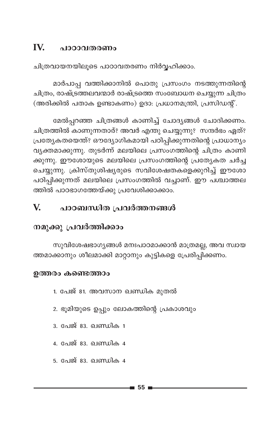### IV. പാഠാവതരണം

ചിത്രവായനയിലൂടെ പാഠാവതരണം നിർവ്വഹിക്കാം.

മാർപാപ്പ വത്തിക്കാനിൽ പൊതു പ്രസംഗം നടത്തുന്നതിന്റെ ചിത്രം, രാഷ്ട്രത്തലവന്മാർ രാഷ്ട്രത്തെ സംബോധന ചെയ്യുന്ന ചിത്രം (അരിക്കിൽ പതാക ഉണ്ടാകണം) ഉദാ: പ്രധാനമന്ത്രി, പ്രസിഡന്റ്.

മേൽപ്പറഞ്ഞ ചിത്രങ്ങൾ കാണിച്ച് ചോദ്യങ്ങൾ ചോദിക്കണം. ചിത്രത്തിൽ കാണുന്നതാര്? അവർ എന്തു ചെയ്യുന്നു? സന്ദർഭം ഏത്? പ്രത്യേകതയെന്ത്? ഔദ്യോഗികമായി പഠിപ്പിക്കുന്നതിന്റെ പ്രാധാന്യം വ്യക്തമാക്കുന്നു. തുടർന്ന് മലയിലെ പ്രസംഗത്തിന്റെ ചിത്രം കാണി ക്കുന്നു. ഈശോയുടെ മലയിലെ പ്രസംഗത്തിന്റെ പ്രത്യേകത ചർച്ച ചെയ്യുന്നു. ക്രിസ്തുശിഷ്യരുടെ സവിശേഷതകളെക്കുറിച്ച് ഈശോ പഠിപ്പിക്കുന്നത് മലയിലെ പ്രസംഗത്തിൽ വച്ചാണ്. ഈ പശ്ചാത്തല ത്തിൽ പാഠഭാഗത്തേയ്ക്കു പ്രവേശിക്കാക്കാം.

### പാഠബന്ധിത പ്രവർത്തനങ്ങൾ  $\mathbf{V}$

## നമുക്കു പ്രവർത്തിക്കാം

സുവിശേഷഭാഗ്യങ്ങൾ മനഃപാഠമാക്കാൻ മാത്രമല്ല, അവ സ്വായ ത്തമാക്കാനും ശീലമാക്കി മാറ്റാനും കുട്ടികളെ പ്രേരിപ്പിക്കണം.

### ഉത്തരം കണ്ടെത്താം

- 1. പേജ് 81. അവസാന ഖണ്ഡിക മുതൽ
- 2. ഭൂമിയുടെ ഉപ്പും ലോകത്തിന്റെ പ്രകാശവും
- <u>3. പേജ് 83. ഖണ്ഡിക 1</u>
- 4. പേജ് 83. ഖണ്ഡിക 4
- 5. പേജ് 83. ഖണ്ഡിക 4